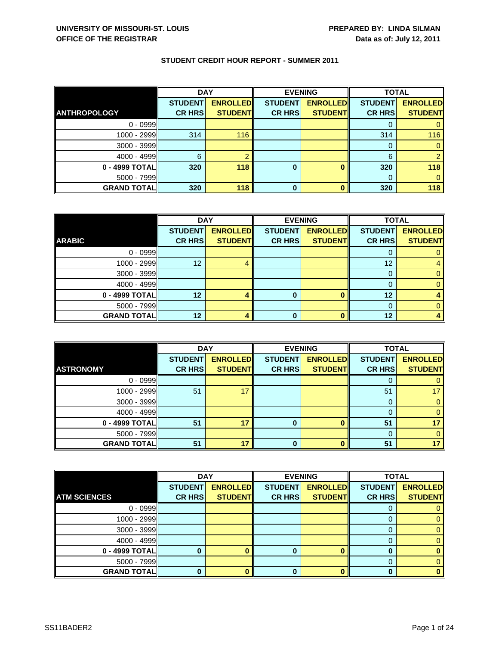|                     | <b>DAY</b>     |                 | <b>EVENING</b> |                 | <b>TOTAL</b>   |                 |
|---------------------|----------------|-----------------|----------------|-----------------|----------------|-----------------|
|                     | <b>STUDENT</b> | <b>ENROLLED</b> | <b>STUDENT</b> | <b>ENROLLED</b> | <b>STUDENT</b> | <b>ENROLLED</b> |
| <b>ANTHROPOLOGY</b> | <b>CR HRS</b>  | <b>STUDENT</b>  | <b>CR HRS</b>  | <b>STUDENT</b>  | <b>CR HRS</b>  | <b>STUDENT</b>  |
| $0 - 0999$          |                |                 |                |                 |                |                 |
| 1000 - 2999         | 314            | 116             |                |                 | 314            | 116             |
| $3000 - 3999$       |                |                 |                |                 |                |                 |
| $4000 - 4999$       | 6              |                 |                |                 | 6              | ◠               |
| 0 - 4999 TOTAL      | 320            | 118             | 0              |                 | 320            | 118             |
| $5000 - 7999$       |                |                 |                |                 |                |                 |
| <b>GRAND TOTAL</b>  | 320            | 118             | 0              |                 | 320            | 118             |

|                    | <b>DAY</b>     |                 | <b>EVENING</b> |                 | <b>TOTAL</b>   |                 |
|--------------------|----------------|-----------------|----------------|-----------------|----------------|-----------------|
|                    | <b>STUDENT</b> | <b>ENROLLED</b> | <b>STUDENT</b> | <b>ENROLLED</b> | <b>STUDENT</b> | <b>ENROLLED</b> |
| <b>ARABIC</b>      | <b>CR HRS</b>  | <b>STUDENT</b>  | <b>CR HRS</b>  | <b>STUDENT</b>  | <b>CR HRS</b>  | <b>STUDENT</b>  |
| $0 - 0999$         |                |                 |                |                 |                |                 |
| $1000 - 2999$      | 12             |                 |                |                 | 12             |                 |
| $3000 - 3999$      |                |                 |                |                 |                |                 |
| $4000 - 4999$      |                |                 |                |                 |                |                 |
| $0 - 4999$ TOTAL   | 12             |                 | 0              |                 | 12             |                 |
| $5000 - 7999$      |                |                 |                |                 |                |                 |
| <b>GRAND TOTAL</b> | 12             |                 | 0              |                 | 12             |                 |

|                    | <b>DAY</b>                      |                                   | <b>EVENING</b>                  |                                   | <b>TOTAL</b>                    |                                   |
|--------------------|---------------------------------|-----------------------------------|---------------------------------|-----------------------------------|---------------------------------|-----------------------------------|
| <b>ASTRONOMY</b>   | <b>STUDENT</b><br><b>CR HRS</b> | <b>ENROLLED</b><br><b>STUDENT</b> | <b>STUDENT</b><br><b>CR HRS</b> | <b>ENROLLED</b><br><b>STUDENT</b> | <b>STUDENT</b><br><b>CR HRS</b> | <b>ENROLLED</b><br><b>STUDENT</b> |
| $0 - 0999$         |                                 |                                   |                                 |                                   |                                 |                                   |
| 1000 - 2999        | 51                              | 17                                |                                 |                                   | 51                              |                                   |
| $3000 - 3999$      |                                 |                                   |                                 |                                   |                                 |                                   |
| $4000 - 4999$      |                                 |                                   |                                 |                                   |                                 |                                   |
| 0 - 4999 TOTAL     | 51                              | 17                                | 0                               |                                   | 51                              |                                   |
| 5000 - 7999        |                                 |                                   |                                 |                                   |                                 |                                   |
| <b>GRAND TOTAL</b> | 51                              | 17                                | 0                               |                                   | 51                              |                                   |

|                     | <b>DAY</b>     |                 | <b>EVENING</b> |                 | <b>TOTAL</b>   |                 |
|---------------------|----------------|-----------------|----------------|-----------------|----------------|-----------------|
|                     | <b>STUDENT</b> | <b>ENROLLED</b> | <b>STUDENT</b> | <b>ENROLLED</b> | <b>STUDENT</b> | <b>ENROLLED</b> |
| <b>ATM SCIENCES</b> | <b>CR HRS</b>  | <b>STUDENT</b>  | <b>CR HRS</b>  | <b>STUDENT</b>  | <b>CR HRS</b>  | <b>STUDENT</b>  |
| $0 - 0999$          |                |                 |                |                 |                |                 |
| $1000 - 2999$       |                |                 |                |                 |                |                 |
| 3000 - 3999         |                |                 |                |                 |                |                 |
| 4000 - 4999         |                |                 |                |                 |                |                 |
| 0 - 4999 TOTAL      |                |                 |                |                 |                |                 |
| 5000 - 7999         |                |                 |                |                 |                |                 |
| <b>GRAND TOTAL</b>  |                |                 | 0              |                 |                |                 |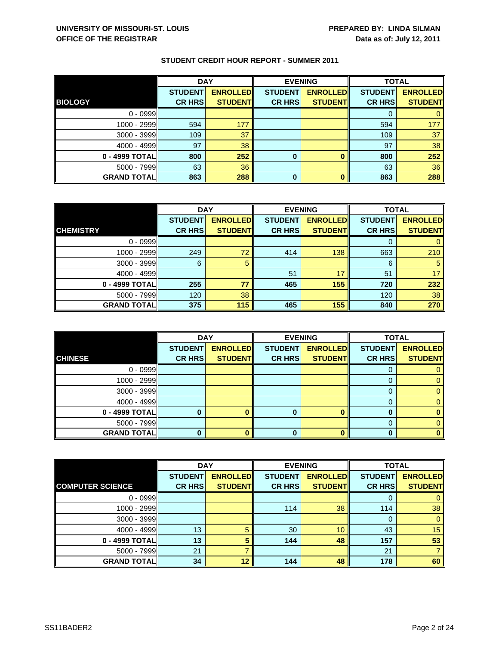|                    | <b>DAY</b>     |                 | <b>EVENING</b> |                 | <b>TOTAL</b>   |                 |
|--------------------|----------------|-----------------|----------------|-----------------|----------------|-----------------|
|                    | <b>STUDENT</b> | <b>ENROLLED</b> | <b>STUDENT</b> | <b>ENROLLED</b> | <b>STUDENT</b> | <b>ENROLLED</b> |
| <b>BIOLOGY</b>     | <b>CR HRS</b>  | <b>STUDENT</b>  | <b>CR HRS</b>  | <b>STUDENT</b>  | <b>CR HRS</b>  | <b>STUDENT</b>  |
| $0 - 0999$         |                |                 |                |                 |                |                 |
| 1000 - 2999        | 594            | 177             |                |                 | 594            | 177             |
| $3000 - 3999$      | 109            | 37              |                |                 | 109            | 37              |
| $4000 - 4999$      | 97             | 38              |                |                 | 97             | 38              |
| 0 - 4999 TOTAL     | 800            | 252             | 0              |                 | 800            | 252             |
| $5000 - 7999$      | 63             | 36              |                |                 | 63             | 36              |
| <b>GRAND TOTAL</b> | 863            | 288             | 0              |                 | 863            | 288             |

|                    | <b>DAY</b>     |                 |                | <b>EVENING</b>  | <b>TOTAL</b>   |                 |
|--------------------|----------------|-----------------|----------------|-----------------|----------------|-----------------|
|                    | <b>STUDENT</b> | <b>ENROLLED</b> | <b>STUDENT</b> | <b>ENROLLED</b> | <b>STUDENT</b> | <b>ENROLLED</b> |
| <b>CHEMISTRY</b>   | <b>CR HRS</b>  | <b>STUDENT</b>  | <b>CR HRS</b>  | <b>STUDENT</b>  | <b>CR HRS</b>  | <b>STUDENT</b>  |
| $0 - 0999$         |                |                 |                |                 |                |                 |
| $1000 - 2999$      | 249            | 72              | 414            | 138             | 663            | 210             |
| $3000 - 3999$      | 6              | 5               |                |                 | 6              | 5               |
| $4000 - 4999$      |                |                 | 51             | 17              | 51             | 17              |
| 0 - 4999 TOTAL     | 255            | 77              | 465            | 155             | 720            | 232             |
| $5000 - 7999$      | 120            | 38              |                |                 | 120            | 38              |
| <b>GRAND TOTAL</b> | 375            | 115             | 465            | 155             | 840            | 270             |

|                    | <b>DAY</b>     |                 |                | <b>EVENING</b>  | <b>TOTAL</b>   |                 |
|--------------------|----------------|-----------------|----------------|-----------------|----------------|-----------------|
|                    | <b>STUDENT</b> | <b>ENROLLED</b> | <b>STUDENT</b> | <b>ENROLLED</b> | <b>STUDENT</b> | <b>ENROLLED</b> |
| <b>CHINESE</b>     | <b>CR HRS</b>  | <b>STUDENT</b>  | <b>CR HRS</b>  | <b>STUDENT</b>  | <b>CR HRS</b>  | <b>STUDENT</b>  |
| $0 - 0999$         |                |                 |                |                 | O              |                 |
| $1000 - 2999$      |                |                 |                |                 |                |                 |
| $3000 - 3999$      |                |                 |                |                 |                |                 |
| $4000 - 4999$      |                |                 |                |                 | 0              |                 |
| 0 - 4999 TOTAL     |                |                 |                |                 |                |                 |
| $5000 - 7999$      |                |                 |                |                 |                |                 |
| <b>GRAND TOTAL</b> |                |                 | 0              |                 |                |                 |

|                         | <b>DAY</b>     |                 | <b>EVENING</b> |                 | <b>TOTAL</b>   |                 |
|-------------------------|----------------|-----------------|----------------|-----------------|----------------|-----------------|
|                         | <b>STUDENT</b> | <b>ENROLLED</b> | <b>STUDENT</b> | <b>ENROLLED</b> | <b>STUDENT</b> | <b>ENROLLED</b> |
| <b>COMPUTER SCIENCE</b> | <b>CR HRS</b>  | <b>STUDENT</b>  | <b>CR HRS</b>  | <b>STUDENT</b>  | <b>CR HRS</b>  | <b>STUDENT</b>  |
| $0 - 0999$              |                |                 |                |                 |                | 0               |
| 1000 - 2999             |                |                 | 114            | 38              | 114            | 38              |
| $3000 - 3999$           |                |                 |                |                 | 0              | $\mathbf{0}$    |
| $4000 - 4999$           | 13             | 5               | 30             | 10              | 43             | 15              |
| $0 - 4999$ TOTAL        | 13             | 5               | 144            | 48              | 157            | 53              |
| $5000 - 7999$           | 21             |                 |                |                 | 21             |                 |
| <b>GRAND TOTAL</b>      | 34             | 12              | 144            | 48              | 178            | 60              |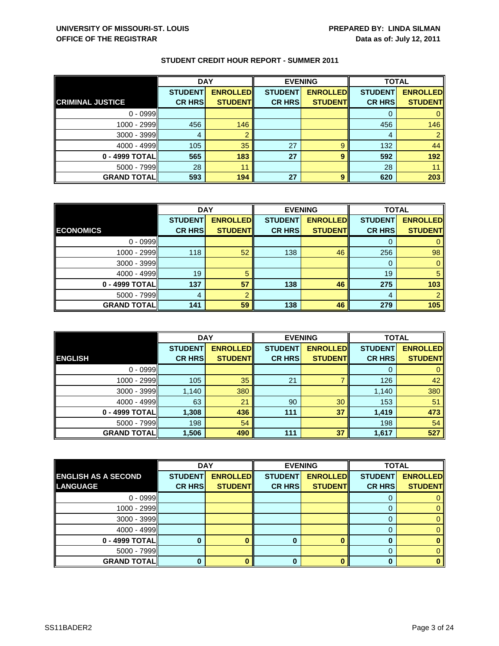|                         | <b>DAY</b>     |                 | <b>EVENING</b> |                 | <b>TOTAL</b>   |                 |
|-------------------------|----------------|-----------------|----------------|-----------------|----------------|-----------------|
|                         | <b>STUDENT</b> | <b>ENROLLED</b> | <b>STUDENT</b> | <b>ENROLLED</b> | <b>STUDENT</b> | <b>ENROLLED</b> |
| <b>CRIMINAL JUSTICE</b> | <b>CR HRS</b>  | <b>STUDENT</b>  | <b>CR HRS</b>  | <b>STUDENT</b>  | <b>CR HRS</b>  | <b>STUDENT</b>  |
| $0 - 0999$              |                |                 |                |                 |                |                 |
| 1000 - 2999             | 456            | 146             |                |                 | 456            | 146             |
| $3000 - 3999$           | 4              |                 |                |                 | 4              |                 |
| $4000 - 4999$           | 105            | 35              | 27             | 9               | 132            | 44              |
| 0 - 4999 TOTAL          | 565            | 183             | 27             | 9               | 592            | 192             |
| $5000 - 7999$           | 28             | 11              |                |                 | 28             |                 |
| <b>GRAND TOTAL</b>      | 593            | 194             | 27             | 9               | 620            | 203             |

|                    | <b>DAY</b>     |                 | <b>EVENING</b> |                 | <b>TOTAL</b>   |                 |
|--------------------|----------------|-----------------|----------------|-----------------|----------------|-----------------|
|                    | <b>STUDENT</b> | <b>ENROLLED</b> | <b>STUDENT</b> | <b>ENROLLED</b> | <b>STUDENT</b> | <b>ENROLLED</b> |
| <b>ECONOMICS</b>   | <b>CR HRS</b>  | <b>STUDENT</b>  | <b>CR HRS</b>  | <b>STUDENT</b>  | <b>CR HRS</b>  | <b>STUDENT</b>  |
| $0 - 0999$         |                |                 |                |                 |                |                 |
| $1000 - 2999$      | 118            | 52              | 138            | 46              | 256            | 98              |
| $3000 - 3999$      |                |                 |                |                 | O              |                 |
| $4000 - 4999$      | 19             | 5               |                |                 | 19             | 5               |
| 0 - 4999 TOTAL     | 137            | 57              | 138            | 46              | 275            | 103             |
| $5000 - 7999$      | 4              |                 |                |                 | 4              |                 |
| <b>GRAND TOTAL</b> | 141            | 59              | 138            | 46              | 279            | 105             |

|                     | <b>DAY</b>     |                 |                | <b>EVENING</b>  | <b>TOTAL</b>   |                 |
|---------------------|----------------|-----------------|----------------|-----------------|----------------|-----------------|
|                     | <b>STUDENT</b> | <b>ENROLLED</b> | <b>STUDENT</b> | <b>ENROLLED</b> | <b>STUDENT</b> | <b>ENROLLED</b> |
| <b>ENGLISH</b>      | <b>CR HRS</b>  | <b>STUDENT</b>  | <b>CR HRS</b>  | <b>STUDENT</b>  | <b>CR HRS</b>  | <b>STUDENT</b>  |
| $0 - 0999$          |                |                 |                |                 | 0              | $\mathbf{0}$    |
| 1000 - 2999         | 105            | 35              | 21             |                 | 126            | 42              |
| $3000 - 3999$       | 1,140          | 380             |                |                 | 1,140          | 380             |
| $4000 - 4999$       | 63             | 21              | 90             | 30              | 153            | 51              |
| 0 - 4999 TOTAL      | 1,308          | 436             | 111            | 37              | 1,419          | 473             |
| $5000 - 7999$       | 198            | 54              |                |                 | 198            | 54              |
| <b>GRAND TOTALI</b> | 1,506          | 490             | 111            | 37              | 1,617          | 527             |

|                            | <b>DAY</b>     |                 |                | <b>EVENING</b>  | <b>TOTAL</b>   |                 |
|----------------------------|----------------|-----------------|----------------|-----------------|----------------|-----------------|
| <b>ENGLISH AS A SECOND</b> | <b>STUDENT</b> | <b>ENROLLED</b> | <b>STUDENT</b> | <b>ENROLLED</b> | <b>STUDENT</b> | <b>ENROLLED</b> |
| LANGUAGE                   | <b>CR HRS</b>  | <b>STUDENT</b>  | <b>CR HRSI</b> | <b>STUDENT</b>  | <b>CR HRSI</b> | <b>STUDENT</b>  |
| $0 - 0999$                 |                |                 |                |                 |                |                 |
| $1000 - 2999$              |                |                 |                |                 |                | 0.              |
| $3000 - 3999$              |                |                 |                |                 | O              |                 |
| $4000 - 4999$              |                |                 |                |                 |                |                 |
| 0 - 4999 TOTAL             |                |                 |                |                 |                |                 |
| $5000 - 7999$              |                |                 |                |                 |                |                 |
| <b>GRAND TOTAL</b>         |                |                 |                |                 |                |                 |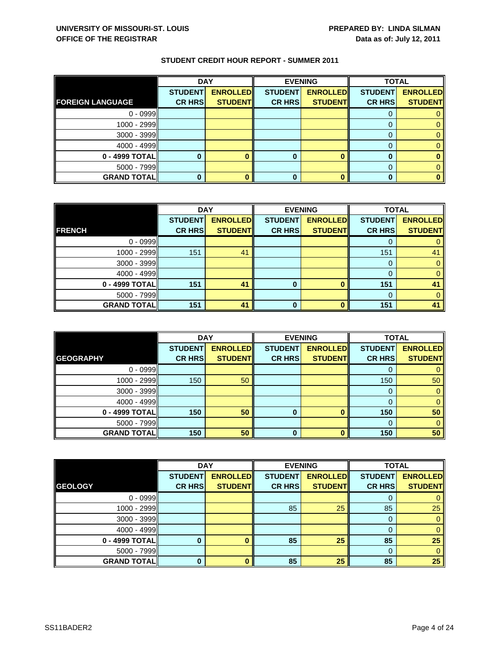|                         | <b>DAY</b>     |                 | <b>EVENING</b> |                 | <b>TOTAL</b>   |                 |
|-------------------------|----------------|-----------------|----------------|-----------------|----------------|-----------------|
|                         | <b>STUDENT</b> | <b>ENROLLED</b> | <b>STUDENT</b> | <b>ENROLLED</b> | <b>STUDENT</b> | <b>ENROLLED</b> |
| <b>FOREIGN LANGUAGE</b> | <b>CR HRS</b>  | <b>STUDENT</b>  | <b>CR HRS</b>  | <b>STUDENT</b>  | <b>CR HRS</b>  | <b>STUDENT</b>  |
| $0 - 0999$              |                |                 |                |                 |                |                 |
| 1000 - 2999             |                |                 |                |                 |                |                 |
| 3000 - 3999             |                |                 |                |                 |                |                 |
| $4000 - 4999$           |                |                 |                |                 |                |                 |
| 0 - 4999 TOTAL          |                |                 | 0              |                 |                |                 |
| 5000 - 7999             |                |                 |                |                 |                |                 |
| <b>GRAND TOTAL</b>      |                |                 |                |                 |                |                 |

|                    | <b>DAY</b>     |                 |                | <b>EVENING</b>  |                | <b>TOTAL</b>    |  |
|--------------------|----------------|-----------------|----------------|-----------------|----------------|-----------------|--|
|                    | <b>STUDENT</b> | <b>ENROLLED</b> | <b>STUDENT</b> | <b>ENROLLED</b> | <b>STUDENT</b> | <b>ENROLLED</b> |  |
| <b>FRENCH</b>      | <b>CR HRS</b>  | <b>STUDENT</b>  | <b>CR HRS</b>  | <b>STUDENT</b>  | <b>CR HRS</b>  | <b>STUDENT</b>  |  |
| $0 - 0999$         |                |                 |                |                 |                |                 |  |
| 1000 - 2999        | 151            | 41              |                |                 | 151            | 41              |  |
| $3000 - 3999$      |                |                 |                |                 | 0              |                 |  |
| 4000 - 4999        |                |                 |                |                 | O              |                 |  |
| 0 - 4999 TOTAL     | 151            | 41              | 0              | $\bf{0}$        | 151            | 41              |  |
| $5000 - 7999$      |                |                 |                |                 | 0              |                 |  |
| <b>GRAND TOTAL</b> | 151            | 41              | ŋ              | n               | 151            | 41              |  |

|                     | <b>DAY</b>                      |                                   |                                 | <b>EVENING</b>                    | <b>TOTAL</b>                    |                                   |
|---------------------|---------------------------------|-----------------------------------|---------------------------------|-----------------------------------|---------------------------------|-----------------------------------|
| <b>GEOGRAPHY</b>    | <b>STUDENT</b><br><b>CR HRS</b> | <b>ENROLLED</b><br><b>STUDENT</b> | <b>STUDENT</b><br><b>CR HRS</b> | <b>ENROLLED</b><br><b>STUDENT</b> | <b>STUDENT</b><br><b>CR HRS</b> | <b>ENROLLED</b><br><b>STUDENT</b> |
| $0 - 0999$          |                                 |                                   |                                 |                                   |                                 |                                   |
| $1000 - 2999$       | 150                             | 50                                |                                 |                                   | 150                             | 50                                |
| $3000 - 3999$       |                                 |                                   |                                 |                                   | 0                               | 0                                 |
| $4000 - 4999$       |                                 |                                   |                                 |                                   |                                 |                                   |
| 0 - 4999 TOTAL      | 150                             | 50                                | 0                               |                                   | 150                             | 50                                |
| $5000 - 7999$       |                                 |                                   |                                 |                                   |                                 |                                   |
| <b>GRAND TOTALI</b> | 150                             | 50                                | 0                               |                                   | 150                             | 50                                |

|                    | <b>DAY</b>     |                 |                | <b>EVENING</b>  | <b>TOTAL</b>   |                 |
|--------------------|----------------|-----------------|----------------|-----------------|----------------|-----------------|
|                    | <b>STUDENT</b> | <b>ENROLLED</b> | <b>STUDENT</b> | <b>ENROLLED</b> | <b>STUDENT</b> | <b>ENROLLED</b> |
| <b>GEOLOGY</b>     | <b>CR HRS</b>  | <b>STUDENT</b>  | <b>CR HRS</b>  | <b>STUDENT</b>  | <b>CR HRS</b>  | <b>STUDENT</b>  |
| $0 - 0999$         |                |                 |                |                 | 0              | 0               |
| 1000 - 2999        |                |                 | 85             | 25              | 85             | 25              |
| $3000 - 3999$      |                |                 |                |                 | 0              | $\mathbf{0}$    |
| $4000 - 4999$      |                |                 |                |                 | 0              | $\mathbf{0}$    |
| 0 - 4999 TOTAL     |                |                 | 85             | 25              | 85             | 25              |
| 5000 - 7999        |                |                 |                |                 | 0              | $\mathbf{0}$    |
| <b>GRAND TOTAL</b> | O              |                 | 85             | 25              | 85             | 25              |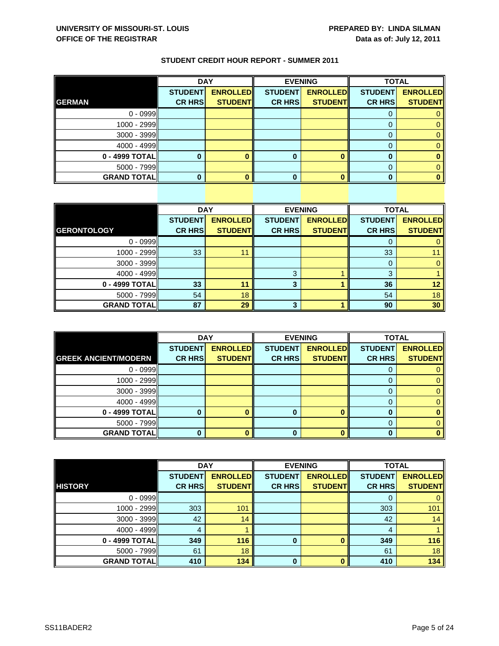|  | <b>STUDENT CREDIT HOUR REPORT - SUMMER 2011</b> |  |  |  |
|--|-------------------------------------------------|--|--|--|
|--|-------------------------------------------------|--|--|--|

|                    | <b>DAY</b>     |                 | <b>EVENING</b> |                 | <b>TOTAL</b>   |                 |
|--------------------|----------------|-----------------|----------------|-----------------|----------------|-----------------|
|                    | <b>STUDENT</b> | <b>ENROLLED</b> | <b>STUDENT</b> | <b>ENROLLED</b> | <b>STUDENT</b> | <b>ENROLLED</b> |
| <b>GERMAN</b>      | <b>CR HRS</b>  | <b>STUDENT</b>  | <b>CR HRS</b>  | <b>STUDENT</b>  | <b>CR HRS</b>  | <b>STUDENT</b>  |
| $0 - 0999$         |                |                 |                |                 |                |                 |
| 1000 - 2999        |                |                 |                |                 |                |                 |
| 3000 - 3999        |                |                 |                |                 |                |                 |
| $4000 - 4999$      |                |                 |                |                 |                |                 |
| 0 - 4999 TOTAL     |                |                 |                |                 |                |                 |
| 5000 - 7999        |                |                 |                |                 |                |                 |
| <b>GRAND TOTAL</b> |                |                 |                |                 |                |                 |

|                    | <b>DAY</b>     |                 |                | <b>EVENING</b>  | <b>TOTAL</b>   |                 |
|--------------------|----------------|-----------------|----------------|-----------------|----------------|-----------------|
|                    | <b>STUDENT</b> | <b>ENROLLED</b> | <b>STUDENT</b> | <b>ENROLLED</b> | <b>STUDENT</b> | <b>ENROLLED</b> |
| <b>GERONTOLOGY</b> | <b>CR HRS</b>  | <b>STUDENT</b>  | <b>CR HRS</b>  | <b>STUDENT</b>  | <b>CR HRS</b>  | <b>STUDENT</b>  |
| $0 - 0999$         |                |                 |                |                 | 0              | $\mathbf{0}$    |
| 1000 - 2999        | 33             | 11              |                |                 | 33             | 11              |
| $3000 - 3999$      |                |                 |                |                 | 0              | $\mathbf{0}$    |
| $4000 - 4999$      |                |                 | 3              |                 | 3              |                 |
| 0 - 4999 TOTAL     | 33             | 11              | 3              |                 | 36             | 12 <sub>2</sub> |
| $5000 - 7999$      | 54             | 18              |                |                 | 54             | 18              |
| <b>GRAND TOTAL</b> | 87             | 29              | 3              |                 | 90             | 30              |

|                             | <b>DAY</b>     |                 | <b>EVENING</b> |                 | <b>TOTAL</b>   |                 |
|-----------------------------|----------------|-----------------|----------------|-----------------|----------------|-----------------|
|                             | <b>STUDENT</b> | <b>ENROLLED</b> | <b>STUDENT</b> | <b>ENROLLED</b> | <b>STUDENT</b> | <b>ENROLLED</b> |
| <b>GREEK ANCIENT/MODERN</b> | <b>CR HRS</b>  | <b>STUDENT</b>  | <b>CR HRS</b>  | <b>STUDENT</b>  | <b>CR HRS</b>  | <b>STUDENT</b>  |
| $0 - 0999$                  |                |                 |                |                 |                |                 |
| 1000 - 2999                 |                |                 |                |                 |                |                 |
| $3000 - 3999$               |                |                 |                |                 |                |                 |
| $4000 - 4999$               |                |                 |                |                 |                |                 |
| 0 - 4999 TOTAL              |                |                 | ŋ              | n               | ŋ              |                 |
| $5000 - 7999$               |                |                 |                |                 |                |                 |
| <b>GRAND TOTAL</b>          |                |                 |                |                 |                |                 |

|                    | <b>DAY</b>     |                 | <b>EVENING</b> |                 | <b>TOTAL</b>   |                 |
|--------------------|----------------|-----------------|----------------|-----------------|----------------|-----------------|
|                    | <b>STUDENT</b> | <b>ENROLLED</b> | <b>STUDENT</b> | <b>ENROLLED</b> | <b>STUDENT</b> | <b>ENROLLED</b> |
| <b>HISTORY</b>     | <b>CR HRS</b>  | <b>STUDENT</b>  | <b>CR HRS</b>  | <b>STUDENT</b>  | <b>CR HRS</b>  | <b>STUDENT</b>  |
| $0 - 0999$         |                |                 |                |                 | 0              | $\mathbf{0}$    |
| 1000 - 2999        | 303            | 101             |                |                 | 303            | 101             |
| 3000 - 3999        | 42             | 14              |                |                 | 42             | 14              |
| $4000 - 4999$      | 4              |                 |                |                 | 4              |                 |
| 0 - 4999 TOTAL     | 349            | 116             | $\bf{0}$       | O               | 349            | 116             |
| 5000 - 7999        | 61             | 18              |                |                 | 61             | 18              |
| <b>GRAND TOTAL</b> | 410            | 134             | $\bf{0}$       | n               | 410            | 134             |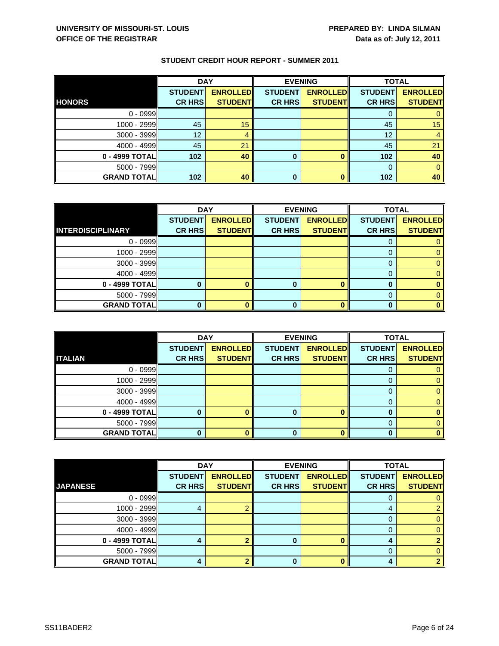|                    | <b>DAY</b>     |                 | <b>EVENING</b> |                 | <b>TOTAL</b>    |                 |
|--------------------|----------------|-----------------|----------------|-----------------|-----------------|-----------------|
|                    | <b>STUDENT</b> | <b>ENROLLED</b> | <b>STUDENT</b> | <b>ENROLLED</b> | <b>STUDENT</b>  | <b>ENROLLED</b> |
| <b>HONORS</b>      | <b>CR HRS</b>  | <b>STUDENT</b>  | <b>CR HRS</b>  | <b>STUDENT</b>  | <b>CR HRS</b>   | <b>STUDENT</b>  |
| $0 - 0999$         |                |                 |                |                 |                 |                 |
| 1000 - 2999        | 45             | 15              |                |                 | 45              | 15              |
| 3000 - 3999        | 12             | 4               |                |                 | 12 <sup>°</sup> |                 |
| $4000 - 4999$      | 45             | 21              |                |                 | 45              | 21              |
| 0 - 4999 TOTAL     | 102            | 40              | 0              |                 | 102             | 40              |
| $5000 - 7999$      |                |                 |                |                 |                 |                 |
| <b>GRAND TOTAL</b> | 102            | 40              | $\bf{0}$       |                 | 102             | 40              |

|                          | <b>DAY</b>     |                 |                | <b>EVENING</b>  | <b>TOTAL</b>   |                 |
|--------------------------|----------------|-----------------|----------------|-----------------|----------------|-----------------|
|                          | <b>STUDENT</b> | <b>ENROLLED</b> | <b>STUDENT</b> | <b>ENROLLED</b> | <b>STUDENT</b> | <b>ENROLLED</b> |
| <b>INTERDISCIPLINARY</b> | <b>CR HRS</b>  | <b>STUDENT</b>  | <b>CR HRS</b>  | <b>STUDENT</b>  | <b>CR HRS</b>  | <b>STUDENT</b>  |
| $0 - 0999$               |                |                 |                |                 |                |                 |
| 1000 - 2999              |                |                 |                |                 |                |                 |
| $3000 - 3999$            |                |                 |                |                 |                |                 |
| $4000 - 4999$            |                |                 |                |                 |                |                 |
| 0 - 4999 TOTAL           |                |                 | O              |                 |                |                 |
| $5000 - 7999$            |                |                 |                |                 |                |                 |
| <b>GRAND TOTAL</b>       |                |                 |                |                 |                |                 |

|                    | <b>DAY</b>     |                 |                | <b>EVENING</b>  | <b>TOTAL</b>   |                 |
|--------------------|----------------|-----------------|----------------|-----------------|----------------|-----------------|
|                    | <b>STUDENT</b> | <b>ENROLLED</b> | <b>STUDENT</b> | <b>ENROLLED</b> | <b>STUDENT</b> | <b>ENROLLED</b> |
| <b>ITALIAN</b>     | <b>CR HRS</b>  | <b>STUDENT</b>  | <b>CR HRS</b>  | <b>STUDENT</b>  | <b>CR HRS</b>  | <b>STUDENT</b>  |
| $0 - 0999$         |                |                 |                |                 | O              |                 |
| $1000 - 2999$      |                |                 |                |                 |                |                 |
| $3000 - 3999$      |                |                 |                |                 |                |                 |
| $4000 - 4999$      |                |                 |                |                 | 0              |                 |
| 0 - 4999 TOTAL     |                |                 |                |                 |                |                 |
| $5000 - 7999$      |                |                 |                |                 |                |                 |
| <b>GRAND TOTAL</b> |                |                 | 0              |                 | 0              |                 |

|                    | <b>DAY</b>     |                 |                | <b>EVENING</b>  |                | <b>TOTAL</b>    |  |
|--------------------|----------------|-----------------|----------------|-----------------|----------------|-----------------|--|
|                    | <b>STUDENT</b> | <b>ENROLLED</b> | <b>STUDENT</b> | <b>ENROLLED</b> | <b>STUDENT</b> | <b>ENROLLED</b> |  |
| <b>JAPANESE</b>    | <b>CR HRS</b>  | <b>STUDENT</b>  | <b>CR HRS</b>  | <b>STUDENT</b>  | <b>CR HRS</b>  | <b>STUDENT</b>  |  |
| $0 - 0999$         |                |                 |                |                 |                |                 |  |
| $1000 - 2999$      |                |                 |                |                 | 4              |                 |  |
| $3000 - 3999$      |                |                 |                |                 | O              | 0.              |  |
| $4000 - 4999$      |                |                 |                |                 |                |                 |  |
| $0 - 4999$ TOTAL   |                |                 |                |                 | 4              |                 |  |
| $5000 - 7999$      |                |                 |                |                 | 0              |                 |  |
| <b>GRAND TOTAL</b> |                |                 |                |                 |                |                 |  |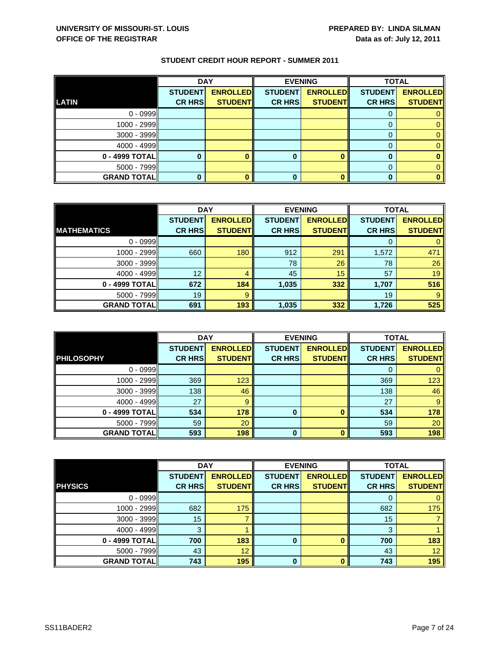|                    | <b>DAY</b>     |                 | <b>EVENING</b> |                 | <b>TOTAL</b>   |                 |
|--------------------|----------------|-----------------|----------------|-----------------|----------------|-----------------|
|                    | <b>STUDENT</b> | <b>ENROLLED</b> | <b>STUDENT</b> | <b>ENROLLED</b> | <b>STUDENT</b> | <b>ENROLLED</b> |
| <b>LATIN</b>       | <b>CR HRS</b>  | <b>STUDENT</b>  | <b>CR HRS</b>  | <b>STUDENT</b>  | <b>CR HRS</b>  | <b>STUDENT</b>  |
| $0 - 0999$         |                |                 |                |                 |                |                 |
| 1000 - 2999        |                |                 |                |                 |                |                 |
| 3000 - 3999        |                |                 |                |                 |                |                 |
| $4000 - 4999$      |                |                 |                |                 |                |                 |
| 0 - 4999 TOTAL     |                |                 |                |                 |                |                 |
| 5000 - 7999        |                |                 |                |                 |                |                 |
| <b>GRAND TOTAL</b> |                |                 |                |                 |                |                 |

|                    | <b>DAY</b>     |                 |                | <b>EVENING</b>  | <b>TOTAL</b>   |                 |
|--------------------|----------------|-----------------|----------------|-----------------|----------------|-----------------|
|                    | <b>STUDENT</b> | <b>ENROLLED</b> | <b>STUDENT</b> | <b>ENROLLED</b> | <b>STUDENT</b> | <b>ENROLLED</b> |
| <b>MATHEMATICS</b> | <b>CR HRS</b>  | <b>STUDENT</b>  | <b>CR HRS</b>  | <b>STUDENT</b>  | <b>CR HRS</b>  | <b>STUDENT</b>  |
| $0 - 0999$         |                |                 |                |                 |                |                 |
| 1000 - 2999        | 660            | 180             | 912            | 291             | 1,572          | 471             |
| $3000 - 3999$      |                |                 | 78             | 26              | 78             | 26              |
| $4000 - 4999$      | 12             | 4               | 45             | 15              | 57             | 19              |
| 0 - 4999 TOTAL     | 672            | 184             | 1,035          | 332             | 1,707          | 516             |
| $5000 - 7999$      | 19             | 9               |                |                 | 19             | 9               |
| <b>GRAND TOTAL</b> | 691            | 193             | 1,035          | 332             | 1,726          | 525             |

|                     | <b>DAY</b>                      |                                    |                                 | <b>EVENING</b>                     | <b>TOTAL</b>                    |                                   |
|---------------------|---------------------------------|------------------------------------|---------------------------------|------------------------------------|---------------------------------|-----------------------------------|
| <b>PHILOSOPHY</b>   | <b>STUDENT</b><br><b>CR HRS</b> | <b>ENROLLED</b><br><b>STUDENTI</b> | <b>STUDENT</b><br><b>CR HRS</b> | <b>ENROLLED</b><br><b>STUDENTI</b> | <b>STUDENT</b><br><b>CR HRS</b> | <b>ENROLLED</b><br><b>STUDENT</b> |
|                     |                                 |                                    |                                 |                                    |                                 |                                   |
| $0 - 0999$          |                                 |                                    |                                 |                                    | O                               |                                   |
| 1000 - 2999         | 369                             | 123                                |                                 |                                    | 369                             | 123                               |
| $3000 - 3999$       | 138                             | 46                                 |                                 |                                    | 138                             | 46                                |
| $4000 - 4999$       | 27                              | 9                                  |                                 |                                    | 27                              | 9                                 |
| 0 - 4999 TOTAL      | 534                             | 178                                | $\bf{0}$                        | O                                  | 534                             | 178                               |
| $5000 - 7999$       | 59                              | 20                                 |                                 |                                    | 59                              | 20                                |
| <b>GRAND TOTALI</b> | 593                             | 198                                | 0                               |                                    | 593                             | 198                               |

|                    | <b>DAY</b>     |                 | <b>EVENING</b> |                 | <b>TOTAL</b>   |                 |
|--------------------|----------------|-----------------|----------------|-----------------|----------------|-----------------|
|                    | <b>STUDENT</b> | <b>ENROLLED</b> | <b>STUDENT</b> | <b>ENROLLED</b> | <b>STUDENT</b> | <b>ENROLLED</b> |
| <b>PHYSICS</b>     | <b>CR HRS</b>  | <b>STUDENT</b>  | <b>CR HRS</b>  | <b>STUDENT</b>  | <b>CR HRS</b>  | <b>STUDENT</b>  |
| $0 - 0999$         |                |                 |                |                 | 0              | 0               |
| 1000 - 2999        | 682            | 175             |                |                 | 682            | 175             |
| 3000 - 3999        | 15             |                 |                |                 | 15             |                 |
| $4000 - 4999$      | 3              |                 |                |                 | 3              |                 |
| 0 - 4999 TOTAL     | 700            | 183             | $\bf{0}$       |                 | 700            | 183             |
| $5000 - 7999$      | 43             | 12              |                |                 | 43             | 12 <sup>°</sup> |
| <b>GRAND TOTAL</b> | 743            | 195             | $\bf{0}$       | n               | 743            | 195             |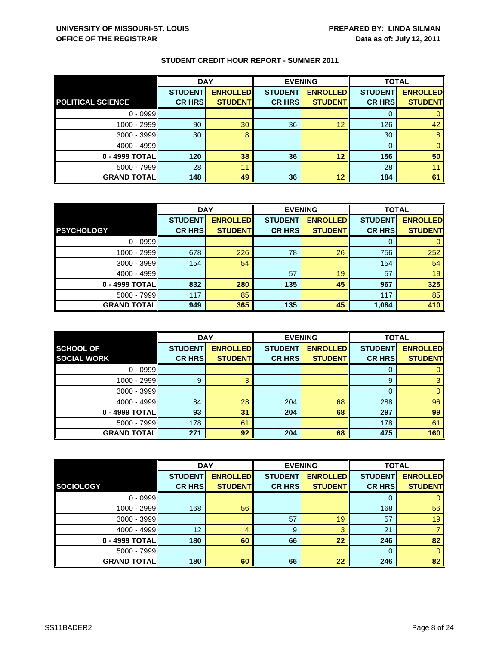|                          | <b>DAY</b>     |                 |                | <b>EVENING</b>  |                | <b>TOTAL</b>    |  |
|--------------------------|----------------|-----------------|----------------|-----------------|----------------|-----------------|--|
|                          | <b>STUDENT</b> | <b>ENROLLED</b> | <b>STUDENT</b> | <b>ENROLLED</b> | <b>STUDENT</b> | <b>ENROLLED</b> |  |
| <b>POLITICAL SCIENCE</b> | <b>CR HRS</b>  | <b>STUDENT</b>  | <b>CR HRS</b>  | <b>STUDENT</b>  | <b>CR HRS</b>  | <b>STUDENT</b>  |  |
| $0 - 0999$               |                |                 |                |                 |                |                 |  |
| $1000 - 2999$            | 90             | 30              | 36             | 12              | 126            | 42              |  |
| $3000 - 3999$            | 30             | 8               |                |                 | 30             | 8               |  |
| $4000 - 4999$            |                |                 |                |                 |                |                 |  |
| 0 - 4999 TOTAL           | 120            | 38              | 36             | 12              | 156            | 50              |  |
| $5000 - 7999$            | 28             | 11              |                |                 | 28             |                 |  |
| <b>GRAND TOTAL</b>       | 148            | 49              | 36             | 12              | 184            | 61              |  |

|                    | <b>DAY</b>     |                 | <b>EVENING</b> |                 | <b>TOTAL</b>   |                 |
|--------------------|----------------|-----------------|----------------|-----------------|----------------|-----------------|
|                    | <b>STUDENT</b> | <b>ENROLLED</b> | <b>STUDENT</b> | <b>ENROLLED</b> | <b>STUDENT</b> | <b>ENROLLED</b> |
| <b>PSYCHOLOGY</b>  | <b>CR HRS</b>  | <b>STUDENT</b>  | <b>CR HRS</b>  | <b>STUDENT</b>  | <b>CR HRS</b>  | <b>STUDENT</b>  |
| $0 - 0999$         |                |                 |                |                 |                |                 |
| 1000 - 2999        | 678            | 226             | 78             | 26              | 756            | 252             |
| $3000 - 3999$      | 154            | 54              |                |                 | 154            | 54              |
| $4000 - 4999$      |                |                 | 57             | 19              | 57             | 19              |
| 0 - 4999 TOTAL     | 832            | 280             | 135            | 45              | 967            | 325             |
| $5000 - 7999$      | 117            | 85              |                |                 | 117            | 85              |
| <b>GRAND TOTAL</b> | 949            | 365             | 135            | 45              | 1,084          | 410             |

|                                        | <b>DAY</b>                      |                                   |                                 | <b>EVENING</b>                    | <b>TOTAL</b>                    |                                   |
|----------------------------------------|---------------------------------|-----------------------------------|---------------------------------|-----------------------------------|---------------------------------|-----------------------------------|
| <b>SCHOOL OF</b><br><b>SOCIAL WORK</b> | <b>STUDENT</b><br><b>CR HRS</b> | <b>ENROLLED</b><br><b>STUDENT</b> | <b>STUDENT</b><br><b>CR HRS</b> | <b>ENROLLED</b><br><b>STUDENT</b> | <b>STUDENT</b><br><b>CR HRS</b> | <b>ENROLLED</b><br><b>STUDENT</b> |
|                                        |                                 |                                   |                                 |                                   |                                 |                                   |
| $0 - 0999$                             |                                 |                                   |                                 |                                   | O                               |                                   |
| 1000 - 2999                            | 9                               | З                                 |                                 |                                   | 9                               | 3                                 |
| $3000 - 3999$                          |                                 |                                   |                                 |                                   |                                 |                                   |
| $4000 - 4999$                          | 84                              | 28                                | 204                             | 68                                | 288                             | 96                                |
| 0 - 4999 TOTAL                         | 93                              | 31                                | 204                             | 68                                | 297                             | 99                                |
| $5000 - 7999$                          | 178                             | 61                                |                                 |                                   | 178                             | 61                                |
| <b>GRAND TOTALI</b>                    | 271                             | 92                                | 204                             | 68                                | 475                             | 160                               |

|                    | <b>DAY</b>     |                 |                | <b>EVENING</b>  |                | <b>TOTAL</b>    |  |
|--------------------|----------------|-----------------|----------------|-----------------|----------------|-----------------|--|
|                    | <b>STUDENT</b> | <b>ENROLLED</b> | <b>STUDENT</b> | <b>ENROLLED</b> | <b>STUDENT</b> | <b>ENROLLED</b> |  |
| <b>SOCIOLOGY</b>   | <b>CR HRS</b>  | <b>STUDENT</b>  | <b>CR HRS</b>  | <b>STUDENT</b>  | <b>CR HRS</b>  | <b>STUDENT</b>  |  |
| $0 - 0999$         |                |                 |                |                 | 0              | 0               |  |
| 1000 - 2999        | 168            | 56              |                |                 | 168            | 56              |  |
| $3000 - 3999$      |                |                 | 57             | 19              | 57             | 19              |  |
| $4000 - 4999$      | 12             | 4               | 9              | 3               | 21             |                 |  |
| 0 - 4999 TOTAL     | 180            | 60              | 66             | 22              | 246            | 82              |  |
| $5000 - 7999$      |                |                 |                |                 | $\Omega$       | $\mathbf{0}$    |  |
| <b>GRAND TOTAL</b> | 180            | 60              | 66             | 22              | 246            | 82              |  |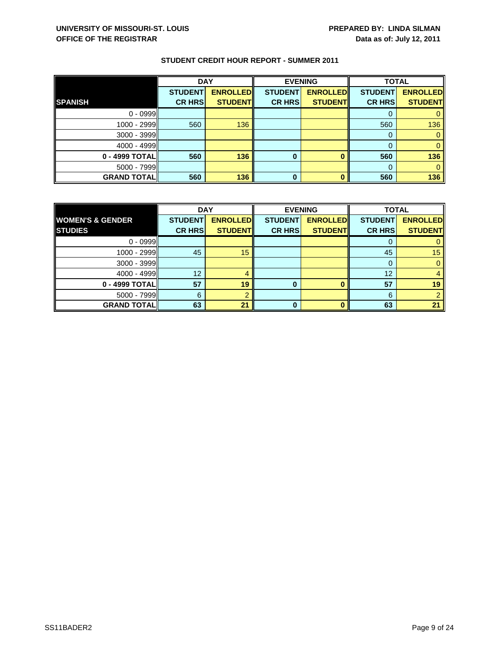|                    | <b>DAY</b>                      |                                   | <b>EVENING</b>                  |                                   | <b>TOTAL</b>                    |                                   |
|--------------------|---------------------------------|-----------------------------------|---------------------------------|-----------------------------------|---------------------------------|-----------------------------------|
| <b>SPANISH</b>     | <b>STUDENT</b><br><b>CR HRS</b> | <b>ENROLLED</b><br><b>STUDENT</b> | <b>STUDENT</b><br><b>CR HRS</b> | <b>ENROLLED</b><br><b>STUDENT</b> | <b>STUDENT</b><br><b>CR HRS</b> | <b>ENROLLED</b><br><b>STUDENT</b> |
|                    |                                 |                                   |                                 |                                   |                                 |                                   |
| $0 - 0999$         |                                 |                                   |                                 |                                   |                                 |                                   |
| 1000 - 2999        | 560                             | 136                               |                                 |                                   | 560                             | 136                               |
| 3000 - 3999        |                                 |                                   |                                 |                                   |                                 |                                   |
| $4000 - 4999$      |                                 |                                   |                                 |                                   |                                 |                                   |
| 0 - 4999 TOTAL     | 560                             | 136                               | 0                               |                                   | 560                             | 136                               |
| $5000 - 7999$      |                                 |                                   |                                 |                                   | $\Omega$                        |                                   |
| <b>GRAND TOTAL</b> | 560                             | 136                               | 0                               |                                   | 560                             | 136                               |

|                             | <b>DAY</b>     |                 | <b>EVENING</b> |                 | <b>TOTAL</b>   |                 |
|-----------------------------|----------------|-----------------|----------------|-----------------|----------------|-----------------|
| <b>WOMEN'S &amp; GENDER</b> | <b>STUDENT</b> | <b>ENROLLED</b> | <b>STUDENT</b> | <b>ENROLLED</b> | <b>STUDENT</b> | <b>ENROLLED</b> |
| <b>STUDIES</b>              | <b>CR HRS</b>  | <b>STUDENT</b>  | <b>CR HRS</b>  | <b>STUDENT</b>  | <b>CR HRS</b>  | <b>STUDENT</b>  |
| $0 - 0999$                  |                |                 |                |                 |                |                 |
| $1000 - 2999$               | 45             | 15              |                |                 | 45             | 15 <sub>1</sub> |
| 3000 - 3999                 |                |                 |                |                 | 0              |                 |
| $4000 - 4999$               | 12             |                 |                |                 | 12             |                 |
| 0 - 4999 TOTAL              | 57             | 19              | 0              |                 | 57             | 19              |
| $5000 - 7999$               | 6              |                 |                |                 | 6              |                 |
| <b>GRAND TOTAL</b>          | 63             | 21              | <sup>0</sup>   |                 | 63             | 21              |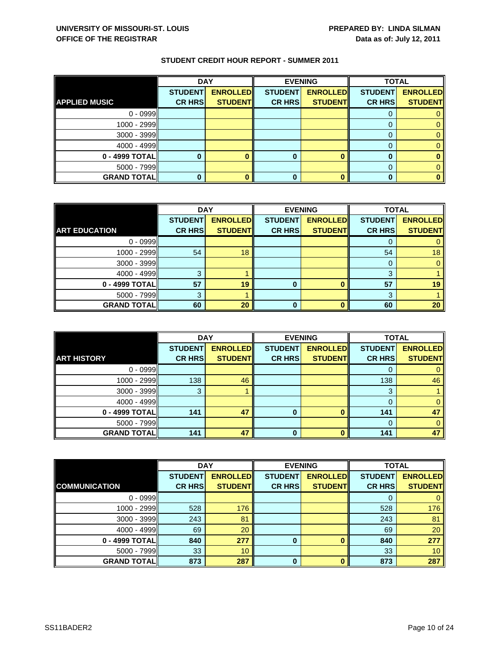|                      | <b>DAY</b>     |                 | <b>EVENING</b> |                 | <b>TOTAL</b>   |                 |
|----------------------|----------------|-----------------|----------------|-----------------|----------------|-----------------|
|                      | <b>STUDENT</b> | <b>ENROLLED</b> | <b>STUDENT</b> | <b>ENROLLED</b> | <b>STUDENT</b> | <b>ENROLLED</b> |
| <b>APPLIED MUSIC</b> | <b>CR HRS</b>  | <b>STUDENT</b>  | <b>CR HRS</b>  | <b>STUDENT</b>  | <b>CR HRS</b>  | <b>STUDENT</b>  |
| $0 - 0999$           |                |                 |                |                 |                |                 |
| 1000 - 2999          |                |                 |                |                 |                |                 |
| 3000 - 3999          |                |                 |                |                 |                |                 |
| $4000 - 4999$        |                |                 |                |                 |                |                 |
| 0 - 4999 TOTAL       |                |                 |                |                 |                |                 |
| $5000 - 7999$        |                |                 |                |                 |                |                 |
| <b>GRAND TOTAL</b>   |                |                 |                |                 |                |                 |

|                      | <b>DAY</b>     |                 | <b>EVENING</b> |                 | <b>TOTAL</b>   |                 |
|----------------------|----------------|-----------------|----------------|-----------------|----------------|-----------------|
|                      | <b>STUDENT</b> | <b>ENROLLED</b> | <b>STUDENT</b> | <b>ENROLLED</b> | <b>STUDENT</b> | <b>ENROLLED</b> |
| <b>ART EDUCATION</b> | <b>CR HRS</b>  | <b>STUDENT</b>  | <b>CR HRS</b>  | <b>STUDENT</b>  | <b>CR HRS</b>  | <b>STUDENT</b>  |
| $0 - 0999$           |                |                 |                |                 |                |                 |
| 1000 - 2999          | 54             | 18              |                |                 | 54             | 18              |
| $3000 - 3999$        |                |                 |                |                 | 0              |                 |
| 4000 - 4999          | 3              |                 |                |                 | 3              |                 |
| 0 - 4999 TOTAL       | 57             | 19              | O              |                 | 57             | 19              |
| $5000 - 7999$        |                |                 |                |                 | 3              |                 |
| <b>GRAND TOTAL</b>   | 60             | 20              |                | n               | 60             | 20              |

|                     | <b>DAY</b>                      |                                   |                                 | <b>EVENING</b>                    | <b>TOTAL</b>                    |                                   |
|---------------------|---------------------------------|-----------------------------------|---------------------------------|-----------------------------------|---------------------------------|-----------------------------------|
| <b>ART HISTORY</b>  | <b>STUDENT</b><br><b>CR HRS</b> | <b>ENROLLED</b><br><b>STUDENT</b> | <b>STUDENT</b><br><b>CR HRS</b> | <b>ENROLLED</b><br><b>STUDENT</b> | <b>STUDENT</b><br><b>CR HRS</b> | <b>ENROLLED</b><br><b>STUDENT</b> |
|                     |                                 |                                   |                                 |                                   |                                 |                                   |
| $0 - 0999$          |                                 |                                   |                                 |                                   |                                 |                                   |
| 1000 - 2999         | 138                             | 46                                |                                 |                                   | 138                             | 46                                |
| 3000 - 3999         | 3                               |                                   |                                 |                                   | 3                               |                                   |
| $4000 - 4999$       |                                 |                                   |                                 |                                   |                                 |                                   |
| 0 - 4999 TOTAL      | 141                             | 47                                |                                 |                                   | 141                             | 47                                |
| 5000 - 7999         |                                 |                                   |                                 |                                   |                                 |                                   |
| <b>GRAND TOTALI</b> | 141                             | 47                                | 0                               |                                   | 141                             | 47                                |

|                      | <b>DAY</b>     |                 |                | <b>EVENING</b>  |                | <b>TOTAL</b>    |  |
|----------------------|----------------|-----------------|----------------|-----------------|----------------|-----------------|--|
|                      | <b>STUDENT</b> | <b>ENROLLED</b> | <b>STUDENT</b> | <b>ENROLLED</b> | <b>STUDENT</b> | <b>ENROLLED</b> |  |
| <b>COMMUNICATION</b> | <b>CR HRS</b>  | <b>STUDENT</b>  | <b>CR HRS</b>  | <b>STUDENT</b>  | <b>CR HRS</b>  | <b>STUDENT</b>  |  |
| $0 - 0999$           |                |                 |                |                 | 0              | $\mathbf{0}$    |  |
| 1000 - 2999          | 528            | 176             |                |                 | 528            | 176             |  |
| 3000 - 3999          | 243            | 81              |                |                 | 243            | 81              |  |
| $4000 - 4999$        | 69             | 20              |                |                 | 69             | 20              |  |
| 0 - 4999 TOTAL       | 840            | 277             | $\bf{0}$       |                 | 840            | 277             |  |
| $5000 - 7999$        | 33             | 10              |                |                 | 33             | 10 <sup>°</sup> |  |
| <b>GRAND TOTAL</b>   | 873            | 287             | $\bf{0}$       | O               | 873            | 287             |  |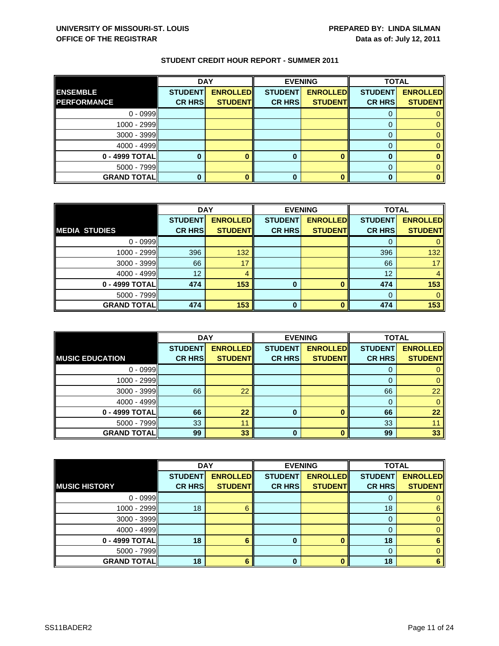|                    | <b>DAY</b>     |                 | <b>EVENING</b> |                 | <b>TOTAL</b>   |                 |
|--------------------|----------------|-----------------|----------------|-----------------|----------------|-----------------|
| <b>ENSEMBLE</b>    | <b>STUDENT</b> | <b>ENROLLED</b> | <b>STUDENT</b> | <b>ENROLLED</b> | <b>STUDENT</b> | <b>ENROLLED</b> |
| <b>PERFORMANCE</b> | <b>CR HRS</b>  | <b>STUDENT</b>  | <b>CR HRS</b>  | <b>STUDENT</b>  | <b>CR HRS</b>  | <b>STUDENT</b>  |
| $0 - 0999$         |                |                 |                |                 |                |                 |
| 1000 - 2999        |                |                 |                |                 |                |                 |
| 3000 - 3999        |                |                 |                |                 |                |                 |
| $4000 - 4999$      |                |                 |                |                 |                |                 |
| 0 - 4999 TOTAL     |                |                 |                |                 |                |                 |
| $5000 - 7999$      |                |                 |                |                 |                |                 |
| <b>GRAND TOTAL</b> |                |                 |                |                 |                |                 |

|                      | <b>DAY</b>     |                 |                | <b>EVENING</b>  |                | <b>TOTAL</b>    |  |
|----------------------|----------------|-----------------|----------------|-----------------|----------------|-----------------|--|
|                      | <b>STUDENT</b> | <b>ENROLLED</b> | <b>STUDENT</b> | <b>ENROLLED</b> | <b>STUDENT</b> | <b>ENROLLED</b> |  |
| <b>MEDIA STUDIES</b> | <b>CR HRS</b>  | <b>STUDENT</b>  | <b>CR HRS</b>  | <b>STUDENT</b>  | <b>CR HRS</b>  | <b>STUDENT</b>  |  |
| $0 - 0999$           |                |                 |                |                 |                |                 |  |
| $1000 - 2999$        | 396            | 132             |                |                 | 396            | 132             |  |
| $3000 - 3999$        | 66             | 17              |                |                 | 66             | 17              |  |
| $4000 - 4999$        | 12             |                 |                |                 | 12             |                 |  |
| 0 - 4999 TOTAL       | 474            | 153             | 0              |                 | 474            | 153             |  |
| $5000 - 7999$        |                |                 |                |                 |                |                 |  |
| <b>GRAND TOTAL</b>   | 474            | 153             | O              |                 | 474            | 153             |  |

|                        | <b>DAY</b>     |                 | <b>EVENING</b> |                 | <b>TOTAL</b>   |                 |
|------------------------|----------------|-----------------|----------------|-----------------|----------------|-----------------|
|                        | <b>STUDENT</b> | <b>ENROLLED</b> | <b>STUDENT</b> | <b>ENROLLED</b> | <b>STUDENT</b> | <b>ENROLLED</b> |
| <b>MUSIC EDUCATION</b> | <b>CR HRS</b>  | <b>STUDENT</b>  | <b>CR HRS</b>  | <b>STUDENT</b>  | <b>CR HRS</b>  | <b>STUDENT</b>  |
| $0 - 0999$             |                |                 |                |                 | υ              |                 |
| $1000 - 2999$          |                |                 |                |                 |                |                 |
| $3000 - 3999$          | 66             | 22              |                |                 | 66             | 22              |
| $4000 - 4999$          |                |                 |                |                 |                |                 |
| 0 - 4999 TOTAL         | 66             | 22              | 0              | n               | 66             | 22              |
| $5000 - 7999$          | 33             | 11              |                |                 | 33             |                 |
| <b>GRAND TOTAL</b>     | 99             | 33              | 0              |                 | 99             | 33              |

|                      | <b>DAY</b>     |                 |                | <b>EVENING</b>  | <b>TOTAL</b>   |                 |
|----------------------|----------------|-----------------|----------------|-----------------|----------------|-----------------|
|                      | <b>STUDENT</b> | <b>ENROLLED</b> | <b>STUDENT</b> | <b>ENROLLED</b> | <b>STUDENT</b> | <b>ENROLLED</b> |
| <b>MUSIC HISTORY</b> | <b>CR HRS</b>  | <b>STUDENT</b>  | <b>CR HRS</b>  | <b>STUDENT</b>  | <b>CR HRS</b>  | <b>STUDENT</b>  |
| $0 - 0999$           |                |                 |                |                 |                |                 |
| $1000 - 2999$        | 18             | 6               |                |                 | 18             | 6               |
| $3000 - 3999$        |                |                 |                |                 | 0              | 0               |
| $4000 - 4999$        |                |                 |                |                 |                | 0               |
| $0 - 4999$ TOTAL     | 18             |                 | 0              |                 | 18             | 6               |
| $5000 - 7999$        |                |                 |                |                 | 0              |                 |
| <b>GRAND TOTAL</b>   | 18             | 6               | ŋ              |                 | 18             | 6               |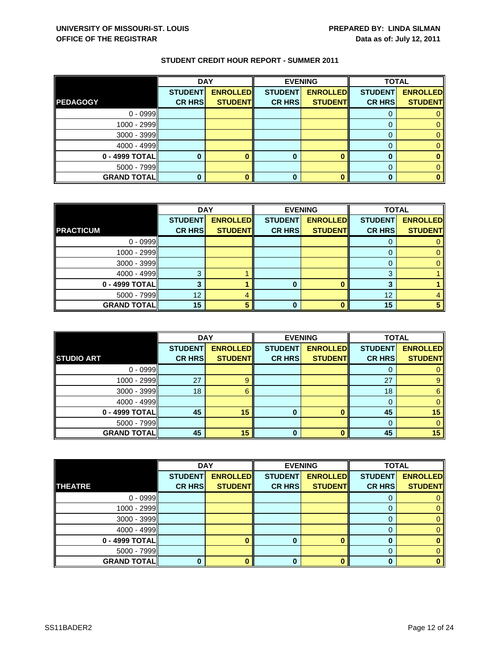|                    | <b>DAY</b>     |                 | <b>EVENING</b> |                 | <b>TOTAL</b>   |                 |
|--------------------|----------------|-----------------|----------------|-----------------|----------------|-----------------|
|                    | <b>STUDENT</b> | <b>ENROLLED</b> | <b>STUDENT</b> | <b>ENROLLED</b> | <b>STUDENT</b> | <b>ENROLLED</b> |
| <b>PEDAGOGY</b>    | <b>CR HRS</b>  | <b>STUDENT</b>  | <b>CR HRS</b>  | <b>STUDENT</b>  | <b>CR HRS</b>  | <b>STUDENT</b>  |
| $0 - 0999$         |                |                 |                |                 |                |                 |
| 1000 - 2999        |                |                 |                |                 |                |                 |
| 3000 - 3999        |                |                 |                |                 |                |                 |
| $4000 - 4999$      |                |                 |                |                 |                |                 |
| 0 - 4999 TOTAL     |                |                 |                |                 |                |                 |
| $5000 - 7999$      |                |                 |                |                 |                |                 |
| <b>GRAND TOTAL</b> |                |                 |                |                 |                |                 |

|                    | <b>DAY</b>     |                 |                | <b>EVENING</b>  |                | <b>TOTAL</b>    |  |
|--------------------|----------------|-----------------|----------------|-----------------|----------------|-----------------|--|
|                    | <b>STUDENT</b> | <b>ENROLLED</b> | <b>STUDENT</b> | <b>ENROLLED</b> | <b>STUDENT</b> | <b>ENROLLED</b> |  |
| <b>PRACTICUM</b>   | <b>CR HRS</b>  | <b>STUDENT</b>  | <b>CR HRS</b>  | <b>STUDENT</b>  | <b>CR HRS</b>  | <b>STUDENT</b>  |  |
| $0 - 0999$         |                |                 |                |                 |                |                 |  |
| 1000 - 2999        |                |                 |                |                 |                |                 |  |
| $3000 - 3999$      |                |                 |                |                 |                |                 |  |
| 4000 - 4999        | વ              |                 |                |                 | 3              |                 |  |
| 0 - 4999 TOTAL     |                |                 |                |                 | 3              |                 |  |
| $5000 - 7999$      | 12             |                 |                |                 | 12             |                 |  |
| <b>GRAND TOTAL</b> | 15             |                 |                | n               | 15             |                 |  |

|                     | <b>DAY</b>                      |                                   |                                 | <b>EVENING</b>                    | <b>TOTAL</b>                    |                                   |
|---------------------|---------------------------------|-----------------------------------|---------------------------------|-----------------------------------|---------------------------------|-----------------------------------|
| <b>STUDIO ART</b>   | <b>STUDENT</b><br><b>CR HRS</b> | <b>ENROLLED</b><br><b>STUDENT</b> | <b>STUDENT</b><br><b>CR HRS</b> | <b>ENROLLED</b><br><b>STUDENT</b> | <b>STUDENT</b><br><b>CR HRS</b> | <b>ENROLLED</b><br><b>STUDENT</b> |
| $0 - 0999$          |                                 |                                   |                                 |                                   | O                               |                                   |
|                     |                                 |                                   |                                 |                                   |                                 |                                   |
| $1000 - 2999$       | 27                              |                                   |                                 |                                   | 27                              | 9                                 |
| $3000 - 3999$       | 18                              | 6                                 |                                 |                                   | 18                              | 6                                 |
| $4000 - 4999$       |                                 |                                   |                                 |                                   | 0                               |                                   |
| 0 - 4999 TOTAL      | 45                              | 15                                | 0                               |                                   | 45                              | 15                                |
| $5000 - 7999$       |                                 |                                   |                                 |                                   | $\Omega$                        |                                   |
| <b>GRAND TOTALI</b> | 45                              | 15                                | 0                               |                                   | 45                              | 15                                |

|                    | <b>DAY</b>     |                 | <b>EVENING</b> |                 | <b>TOTAL</b>   |                 |
|--------------------|----------------|-----------------|----------------|-----------------|----------------|-----------------|
|                    | <b>STUDENT</b> | <b>ENROLLED</b> | <b>STUDENT</b> | <b>ENROLLED</b> | <b>STUDENT</b> | <b>ENROLLED</b> |
| <b>THEATRE</b>     | <b>CR HRS</b>  | <b>STUDENT</b>  | <b>CR HRS</b>  | <b>STUDENT</b>  | <b>CR HRS</b>  | <b>STUDENT</b>  |
| $0 - 0999$         |                |                 |                |                 |                |                 |
| $1000 - 2999$      |                |                 |                |                 |                | 0               |
| $3000 - 3999$      |                |                 |                |                 | O              | 0.              |
| $4000 - 4999$      |                |                 |                |                 |                |                 |
| $0 - 4999$ TOTAL   |                |                 |                |                 |                |                 |
| $5000 - 7999$      |                |                 |                |                 | 0              |                 |
| <b>GRAND TOTAL</b> |                |                 |                |                 | n              | o               |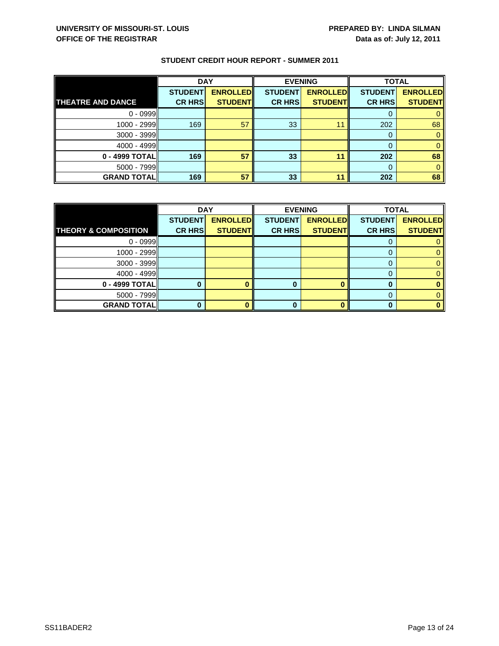|                          | <b>DAY</b>                      |                                   | <b>EVENING</b>                  |                                   | <b>TOTAL</b>                    |                                   |
|--------------------------|---------------------------------|-----------------------------------|---------------------------------|-----------------------------------|---------------------------------|-----------------------------------|
| <b>THEATRE AND DANCE</b> | <b>STUDENT</b><br><b>CR HRS</b> | <b>ENROLLED</b><br><b>STUDENT</b> | <b>STUDENT</b><br><b>CR HRS</b> | <b>ENROLLED</b><br><b>STUDENT</b> | <b>STUDENT</b><br><b>CR HRS</b> | <b>ENROLLED</b><br><b>STUDENT</b> |
| $0 - 0999$               |                                 |                                   |                                 |                                   |                                 |                                   |
|                          |                                 |                                   |                                 |                                   |                                 |                                   |
| 1000 - 2999II            | 169                             | 57                                | 33                              | 11                                | 202                             | 68                                |
| 3000 - 3999              |                                 |                                   |                                 |                                   |                                 |                                   |
| $4000 - 4999$            |                                 |                                   |                                 |                                   |                                 |                                   |
| 0 - 4999 TOTAL           | 169                             | 57                                | 33                              | 11                                | 202                             | 68                                |
| $5000 - 7999$            |                                 |                                   |                                 |                                   |                                 |                                   |
| <b>GRAND TOTAL</b>       | 169                             | 57                                | 33                              | 11                                | 202                             | 68                                |

|                                 | <b>DAY</b>     |                 | <b>EVENING</b> |                 | <b>TOTAL</b>   |                 |
|---------------------------------|----------------|-----------------|----------------|-----------------|----------------|-----------------|
|                                 | <b>STUDENT</b> | <b>ENROLLED</b> | <b>STUDENT</b> | <b>ENROLLED</b> | <b>STUDENT</b> | <b>ENROLLED</b> |
| <b>THEORY &amp; COMPOSITION</b> | <b>CR HRS</b>  | <b>STUDENT</b>  | <b>CR HRS</b>  | <b>STUDENT</b>  | <b>CR HRS</b>  | <b>STUDENT</b>  |
| $0 - 0999$                      |                |                 |                |                 |                |                 |
| 1000 - 2999                     |                |                 |                |                 |                |                 |
| $3000 - 3999$                   |                |                 |                |                 |                |                 |
| $4000 - 4999$                   |                |                 |                |                 |                |                 |
| 0 - 4999 TOTAL                  |                |                 | O              |                 |                |                 |
| $5000 - 7999$                   |                |                 |                |                 |                |                 |
| <b>GRAND TOTALI</b>             |                |                 | n              |                 |                |                 |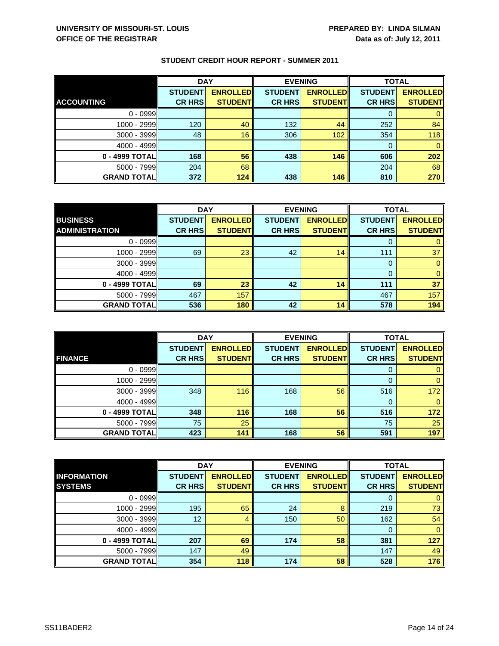|                    | <b>DAY</b>     |                 | <b>EVENING</b> |                 | <b>TOTAL</b>   |                 |
|--------------------|----------------|-----------------|----------------|-----------------|----------------|-----------------|
|                    | <b>STUDENT</b> | <b>ENROLLED</b> | <b>STUDENT</b> | <b>ENROLLED</b> | <b>STUDENT</b> | <b>ENROLLED</b> |
| <b>ACCOUNTING</b>  | <b>CR HRS</b>  | <b>STUDENTI</b> | <b>CR HRS</b>  | <b>STUDENTI</b> | <b>CR HRS</b>  | <b>STUDENT</b>  |
| $0 - 0999$         |                |                 |                |                 | O              |                 |
| $1000 - 2999$      | 120            | 40              | 132            | 44              | 252            | 84              |
| $3000 - 3999$      | 48             | 16              | 306            | 102             | 354            | 118             |
| $4000 - 4999$      |                |                 |                |                 | 0              |                 |
| 0 - 4999 TOTAL     | 168            | 56              | 438            | 146             | 606            | 202             |
| $5000 - 7999$      | 204            | 68              |                |                 | 204            | 68              |
| <b>GRAND TOTAL</b> | 372            | 124             | 438            | 146             | 810            | 270             |

|                       | <b>DAY</b>     |                 |                | <b>EVENING</b>  | <b>TOTAL</b>   |                 |
|-----------------------|----------------|-----------------|----------------|-----------------|----------------|-----------------|
| <b>BUSINESS</b>       | <b>STUDENT</b> | <b>ENROLLED</b> | <b>STUDENT</b> | <b>ENROLLED</b> | <b>STUDENT</b> | <b>ENROLLED</b> |
| <b>ADMINISTRATION</b> | <b>CR HRS</b>  | <b>STUDENT</b>  | <b>CR HRS</b>  | <b>STUDENT</b>  | <b>CR HRS</b>  | <b>STUDENT</b>  |
| $0 - 0999$            |                |                 |                |                 |                |                 |
| 1000 - 2999           | 69             | 23              | 42             | 14              | 111            | 37              |
| $3000 - 3999$         |                |                 |                |                 | O              |                 |
| $4000 - 4999$         |                |                 |                |                 |                | 0               |
| 0 - 4999 TOTAL        | 69             | 23              | 42             | 14              | 111            | 37              |
| $5000 - 7999$         | 467            | 157             |                |                 | 467            | 157             |
| <b>GRAND TOTAL</b>    | 536            | 180             | 42             | 14              | 578            | 194             |

|                    | <b>DAY</b>                      |                                    |                                 | <b>EVENING</b>                     | <b>TOTAL</b>                    |                                   |
|--------------------|---------------------------------|------------------------------------|---------------------------------|------------------------------------|---------------------------------|-----------------------------------|
| <b>FINANCE</b>     | <b>STUDENT</b><br><b>CR HRS</b> | <b>ENROLLED</b><br><b>STUDENTI</b> | <b>STUDENT</b><br><b>CR HRS</b> | <b>ENROLLED</b><br><b>STUDENTI</b> | <b>STUDENT</b><br><b>CR HRS</b> | <b>ENROLLED</b><br><b>STUDENT</b> |
|                    |                                 |                                    |                                 |                                    |                                 |                                   |
| $0 - 0999$         |                                 |                                    |                                 |                                    | O                               |                                   |
| 1000 - 2999        |                                 |                                    |                                 |                                    |                                 | 0                                 |
| $3000 - 3999$      | 348                             | 116                                | 168                             | 56                                 | 516                             | 172                               |
| $4000 - 4999$      |                                 |                                    |                                 |                                    | 0                               | 0                                 |
| 0 - 4999 TOTALI    | 348                             | 116                                | 168                             | 56                                 | 516                             | 172                               |
| $5000 - 7999$      | 75                              | 25                                 |                                 |                                    | 75                              | 25                                |
| <b>GRAND TOTAL</b> | 423                             | 141                                | 168                             | 56                                 | 591                             | 197                               |

|                    | <b>DAY</b>      |                 | <b>EVENING</b> |                 | <b>TOTAL</b>   |                 |
|--------------------|-----------------|-----------------|----------------|-----------------|----------------|-----------------|
| <b>INFORMATION</b> | <b>STUDENT</b>  | <b>ENROLLED</b> | <b>STUDENT</b> | <b>ENROLLED</b> | <b>STUDENT</b> | <b>ENROLLED</b> |
| <b>SYSTEMS</b>     | <b>CR HRS</b>   | <b>STUDENT</b>  | <b>CR HRS</b>  | <b>STUDENT</b>  | <b>CR HRS</b>  | <b>STUDENT</b>  |
| $0 - 0999$         |                 |                 |                |                 | O              | 0               |
| 1000 - 2999        | 195             | 65              | 24             | 8               | 219            | 73              |
| $3000 - 3999$      | 12 <sup>2</sup> | 4               | 150            | 50              | 162            | 54              |
| $4000 - 4999$      |                 |                 |                |                 | $\Omega$       | $\mathbf{0}$    |
| 0 - 4999 TOTAL     | 207             | 69              | 174            | 58              | 381            | 127             |
| $5000 - 7999$      | 147             | 49              |                |                 | 147            | 49              |
| <b>GRAND TOTAL</b> | 354             | 118             | 174            | 58              | 528            | 176             |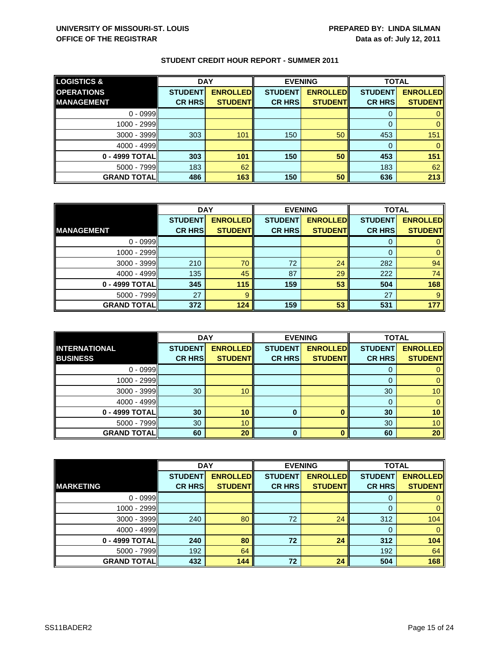| <b>LOGISTICS &amp;</b> | <b>DAY</b>     |                 | <b>EVENING</b> |                 | <b>TOTAL</b>   |                 |
|------------------------|----------------|-----------------|----------------|-----------------|----------------|-----------------|
| <b>OPERATIONS</b>      | <b>STUDENT</b> | <b>ENROLLED</b> | <b>STUDENT</b> | <b>ENROLLED</b> | <b>STUDENT</b> | <b>ENROLLED</b> |
| <b>MANAGEMENT</b>      | <b>CR HRS</b>  | <b>STUDENT</b>  | <b>CR HRS</b>  | <b>STUDENT</b>  | <b>CR HRS</b>  | <b>STUDENT</b>  |
| $0 - 0999$             |                |                 |                |                 |                |                 |
| 1000 - 2999            |                |                 |                |                 |                |                 |
| $3000 - 3999$          | 303            | 101             | 150            | 50              | 453            | 151             |
| $4000 - 4999$          |                |                 |                |                 |                |                 |
| 0 - 4999 TOTAL         | 303            | 101             | 150            | 50              | 453            | 151             |
| $5000 - 7999$          | 183            | 62              |                |                 | 183            | 62              |
| <b>GRAND TOTALI</b>    | 486            | 163             | 150            | 50              | 636            | 213             |

|                    | <b>DAY</b>     |                 |                | <b>EVENING</b>  | <b>TOTAL</b>   |                 |
|--------------------|----------------|-----------------|----------------|-----------------|----------------|-----------------|
|                    | <b>STUDENT</b> | <b>ENROLLED</b> | <b>STUDENT</b> | <b>ENROLLED</b> | <b>STUDENT</b> | <b>ENROLLED</b> |
| <b>IMANAGEMENT</b> | <b>CR HRS</b>  | <b>STUDENT</b>  | <b>CR HRS</b>  | <b>STUDENT</b>  | <b>CR HRS</b>  | <b>STUDENT</b>  |
| $0 - 0999$         |                |                 |                |                 |                |                 |
| $1000 - 2999$      |                |                 |                |                 | 0              |                 |
| $3000 - 3999$      | 210            | 70              | 72             | 24              | 282            | 94              |
| $4000 - 4999$      | 135            | 45              | 87             | 29              | 222            | 74              |
| 0 - 4999 TOTAL     | 345            | 115             | 159            | 53              | 504            | 168             |
| $5000 - 7999$      | 27             | 9               |                |                 | 27             | 9               |
| <b>GRAND TOTAL</b> | 372            | 124             | 159            | 53              | 531            | 177             |

|                      | <b>DAY</b>     |                 | <b>EVENING</b> |                 | <b>TOTAL</b>   |                 |
|----------------------|----------------|-----------------|----------------|-----------------|----------------|-----------------|
| <b>INTERNATIONAL</b> | <b>STUDENT</b> | <b>ENROLLED</b> | <b>STUDENT</b> | <b>ENROLLED</b> | <b>STUDENT</b> | <b>ENROLLED</b> |
| <b>BUSINESS</b>      | <b>CR HRS</b>  | <b>STUDENT</b>  | <b>CR HRS</b>  | <b>STUDENT</b>  | <b>CR HRS</b>  | <b>STUDENT</b>  |
| $0 - 0999$           |                |                 |                |                 | U              |                 |
| 1000 - 2999          |                |                 |                |                 |                |                 |
| $3000 - 3999$        | 30             | 10              |                |                 | 30             | 10 <sup>°</sup> |
| $4000 - 4999$        |                |                 |                |                 |                |                 |
| 0 - 4999 TOTAL       | 30             | 10              | $\bf{0}$       | O               | 30             | 10              |
| 5000 - 7999          | 30             | 10              |                |                 | 30             | 10 <sup>°</sup> |
| <b>GRAND TOTAL</b>   | 60             | 20              | 0              | n               | 60             | 20              |

|                    | <b>DAY</b>     |                 |                | <b>EVENING</b>  | <b>TOTAL</b>   |                 |
|--------------------|----------------|-----------------|----------------|-----------------|----------------|-----------------|
|                    | <b>STUDENT</b> | <b>ENROLLED</b> | <b>STUDENT</b> | <b>ENROLLED</b> | <b>STUDENT</b> | <b>ENROLLED</b> |
| <b>MARKETING</b>   | <b>CR HRS</b>  | <b>STUDENT</b>  | <b>CR HRS</b>  | <b>STUDENT</b>  | <b>CR HRS</b>  | <b>STUDENT</b>  |
| $0 - 0999$         |                |                 |                |                 | 0              | $\mathbf{0}$    |
| 1000 - 2999        |                |                 |                |                 | 0              | $\mathbf{0}$    |
| 3000 - 3999        | 240            | 80              | 72             | 24              | 312            | 104             |
| $4000 - 4999$      |                |                 |                |                 | 0              | $\mathbf{0}$    |
| 0 - 4999 TOTAL     | 240            | 80              | 72             | 24              | 312            | 104             |
| $5000 - 7999$      | 192            | 64              |                |                 | 192            | 64              |
| <b>GRAND TOTAL</b> | 432            | 144             | 72             | 24              | 504            | 168             |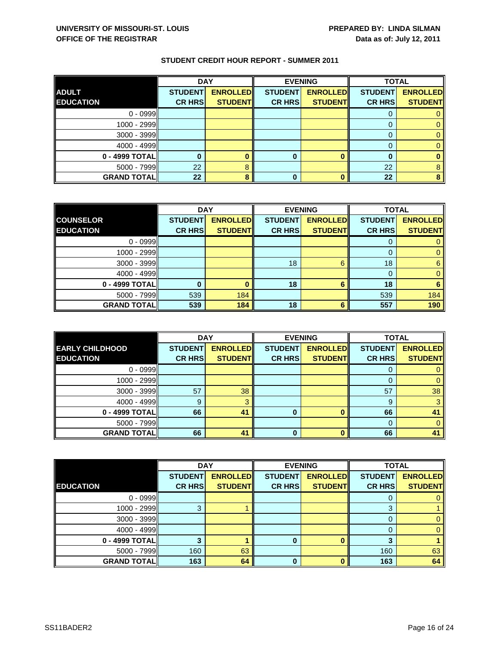|                    | <b>DAY</b>     |                 |                | <b>EVENING</b>  | <b>TOTAL</b>   |                 |
|--------------------|----------------|-----------------|----------------|-----------------|----------------|-----------------|
| <b>ADULT</b>       | <b>STUDENT</b> | <b>ENROLLED</b> | <b>STUDENT</b> | <b>ENROLLED</b> | <b>STUDENT</b> | <b>ENROLLED</b> |
| <b>EDUCATION</b>   | <b>CR HRS</b>  | <b>STUDENT</b>  | <b>CR HRS</b>  | <b>STUDENT</b>  | <b>CR HRS</b>  | <b>STUDENT</b>  |
| $0 - 0999$         |                |                 |                |                 |                |                 |
| 1000 - 2999        |                |                 |                |                 |                |                 |
| 3000 - 3999        |                |                 |                |                 |                |                 |
| $4000 - 4999$      |                |                 |                |                 |                |                 |
| 0 - 4999 TOTAL     |                |                 | 0              |                 |                |                 |
| $5000 - 7999$      | 22             |                 |                |                 | 22             |                 |
| <b>GRAND TOTAL</b> | 22             |                 |                |                 | 22             |                 |

|                    | <b>DAY</b>     |                 | <b>EVENING</b> |                 |                | <b>TOTAL</b>    |  |
|--------------------|----------------|-----------------|----------------|-----------------|----------------|-----------------|--|
| <b>COUNSELOR</b>   | <b>STUDENT</b> | <b>ENROLLED</b> | <b>STUDENT</b> | <b>ENROLLED</b> | <b>STUDENT</b> | <b>ENROLLED</b> |  |
| <b>EDUCATION</b>   | <b>CR HRS</b>  | <b>STUDENT</b>  | <b>CR HRS</b>  | <b>STUDENTI</b> | <b>CR HRS</b>  | <b>STUDENT</b>  |  |
| $0 - 0999$         |                |                 |                |                 |                | 0               |  |
| 1000 - 2999        |                |                 |                |                 | 0              | 0               |  |
| $3000 - 3999$      |                |                 | 18             | 6               | 18             | 6               |  |
| $4000 - 4999$      |                |                 |                |                 | 0              | $\mathbf{0}$    |  |
| 0 - 4999 TOTAL     |                |                 | 18             | 6               | 18             | 6               |  |
| 5000 - 7999        | 539            | 184             |                |                 | 539            | 184             |  |
| <b>GRAND TOTAL</b> | 539            | 184             | 18             | 6               | 557            | 190             |  |

|                        | <b>DAY</b>     |                 |                | <b>EVENING</b>  | <b>TOTAL</b>   |                 |
|------------------------|----------------|-----------------|----------------|-----------------|----------------|-----------------|
| <b>EARLY CHILDHOOD</b> | <b>STUDENT</b> | <b>ENROLLED</b> | <b>STUDENT</b> | <b>ENROLLED</b> | <b>STUDENT</b> | <b>ENROLLED</b> |
| <b>EDUCATION</b>       | <b>CR HRS</b>  | <b>STUDENT</b>  | <b>CR HRS</b>  | <b>STUDENT</b>  | <b>CR HRS</b>  | <b>STUDENT</b>  |
| $0 - 0999$             |                |                 |                |                 |                |                 |
| 1000 - 2999            |                |                 |                |                 |                |                 |
| $3000 - 3999$          | 57             | 38              |                |                 | 57             | 38              |
| $4000 - 4999$          | 9              |                 |                |                 | 9              |                 |
| 0 - 4999 TOTAL         | 66             | 41              | 0              | ŋ               | 66             | 41              |
| $5000 - 7999$          |                |                 |                |                 | 0              |                 |
| <b>GRAND TOTAL</b>     | 66             | 41              | 0              |                 | 66             | 41              |

|                    | <b>DAY</b>     |                 | <b>EVENING</b> |                 | <b>TOTAL</b>   |                 |
|--------------------|----------------|-----------------|----------------|-----------------|----------------|-----------------|
|                    | <b>STUDENT</b> | <b>ENROLLED</b> | <b>STUDENT</b> | <b>ENROLLED</b> | <b>STUDENT</b> | <b>ENROLLED</b> |
| <b>EDUCATION</b>   | <b>CR HRS</b>  | <b>STUDENT</b>  | <b>CR HRS</b>  | <b>STUDENT</b>  | <b>CR HRS</b>  | <b>STUDENT</b>  |
| $0 - 0999$         |                |                 |                |                 | U              | 0               |
| 1000 - 2999        | 3              |                 |                |                 | 3              |                 |
| $3000 - 3999$      |                |                 |                |                 | 0              | 0               |
| $4000 - 4999$      |                |                 |                |                 | 0              | $\mathbf{0}$    |
| 0 - 4999 TOTAL     |                |                 | 0              |                 | 3              |                 |
| $5000 - 7999$      | 160            | 63              |                |                 | 160            | 63              |
| <b>GRAND TOTAL</b> | 163            | 64              | $\bf{0}$       |                 | 163            | 64              |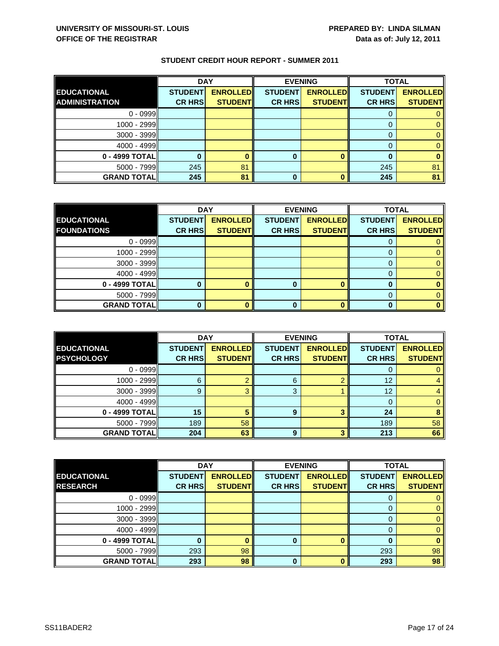|                       | <b>DAY</b>     |                 |                | <b>EVENING</b>  | <b>TOTAL</b>   |                 |
|-----------------------|----------------|-----------------|----------------|-----------------|----------------|-----------------|
| <b>EDUCATIONAL</b>    | <b>STUDENT</b> | <b>ENROLLED</b> | <b>STUDENT</b> | <b>ENROLLED</b> | <b>STUDENT</b> | <b>ENROLLED</b> |
| <b>ADMINISTRATION</b> | <b>CR HRS</b>  | <b>STUDENT</b>  | <b>CR HRS</b>  | <b>STUDENT</b>  | <b>CR HRS</b>  | <b>STUDENT</b>  |
| $0 - 0999$            |                |                 |                |                 |                |                 |
| $1000 - 2999$         |                |                 |                |                 |                |                 |
| $3000 - 3999$         |                |                 |                |                 |                |                 |
| $4000 - 4999$         |                |                 |                |                 |                |                 |
| 0 - 4999 TOTAL        |                |                 | 0              |                 |                |                 |
| $5000 - 7999$         | 245            | 81              |                |                 | 245            | 81              |
| <b>GRAND TOTAL</b>    | 245            | 81              | 0              |                 | 245            | 81              |

|                    | <b>DAY</b>     |                 | <b>EVENING</b> |                 | <b>TOTAL</b>   |                 |
|--------------------|----------------|-----------------|----------------|-----------------|----------------|-----------------|
| <b>EDUCATIONAL</b> | <b>STUDENT</b> | <b>ENROLLED</b> | <b>STUDENT</b> | <b>ENROLLED</b> | <b>STUDENT</b> | <b>ENROLLED</b> |
| <b>FOUNDATIONS</b> | <b>CR HRS</b>  | <b>STUDENT</b>  | <b>CR HRS</b>  | <b>STUDENT</b>  | <b>CR HRS</b>  | <b>STUDENT</b>  |
| $0 - 0999$         |                |                 |                |                 |                |                 |
| 1000 - 2999        |                |                 |                |                 |                |                 |
| $3000 - 3999$      |                |                 |                |                 |                |                 |
| 4000 - 4999        |                |                 |                |                 |                |                 |
| 0 - 4999 TOTAL     |                |                 | o              |                 |                |                 |
| $5000 - 7999$      |                |                 |                |                 |                |                 |
| <b>GRAND TOTAL</b> |                |                 |                |                 |                |                 |

|                                         | <b>DAY</b>                      |                                   |                                 | <b>EVENING</b>                    | <b>TOTAL</b>                    |                                   |
|-----------------------------------------|---------------------------------|-----------------------------------|---------------------------------|-----------------------------------|---------------------------------|-----------------------------------|
| <b>EDUCATIONAL</b><br><b>PSYCHOLOGY</b> | <b>STUDENT</b><br><b>CR HRS</b> | <b>ENROLLED</b><br><b>STUDENT</b> | <b>STUDENT</b><br><b>CR HRS</b> | <b>ENROLLED</b><br><b>STUDENT</b> | <b>STUDENT</b><br><b>CR HRS</b> | <b>ENROLLED</b><br><b>STUDENT</b> |
|                                         |                                 |                                   |                                 |                                   |                                 |                                   |
| $0 - 0999$                              |                                 |                                   |                                 |                                   |                                 |                                   |
| $1000 - 2999$                           | 6                               |                                   | 6                               |                                   | 12                              |                                   |
| $3000 - 3999$                           | 9                               |                                   | 3                               |                                   | 12                              |                                   |
| $4000 - 4999$                           |                                 |                                   |                                 |                                   |                                 |                                   |
| 0 - 4999 TOTAL                          | 15                              |                                   | 9                               | າ                                 | 24                              |                                   |
| $5000 - 7999$                           | 189                             | 58                                |                                 |                                   | 189                             | 58                                |
| <b>GRAND TOTAL</b>                      | 204                             | 63                                | 9                               |                                   | 213                             | 66                                |

|                    | <b>DAY</b>     |                 |                | <b>EVENING</b>  | <b>TOTAL</b>   |                 |
|--------------------|----------------|-----------------|----------------|-----------------|----------------|-----------------|
| <b>EDUCATIONAL</b> | <b>STUDENT</b> | <b>ENROLLED</b> | <b>STUDENT</b> | <b>ENROLLED</b> | <b>STUDENT</b> | <b>ENROLLED</b> |
| <b>RESEARCH</b>    | <b>CR HRS</b>  | <b>STUDENT</b>  | <b>CR HRS</b>  | <b>STUDENT</b>  | <b>CR HRS</b>  | <b>STUDENT</b>  |
| $0 - 0999$         |                |                 |                |                 | U              | 0               |
| 1000 - 2999        |                |                 |                |                 | 0              | $\mathbf{0}$    |
| $3000 - 3999$      |                |                 |                |                 | 0              | 0               |
| $4000 - 4999$      |                |                 |                |                 | 0              | $\mathbf{0}$    |
| 0 - 4999 TOTAL     |                |                 | 0              |                 | 0              | $\bf{0}$        |
| $5000 - 7999$      | 293            | 98              |                |                 | 293            | 98              |
| <b>GRAND TOTAL</b> | 293            | 98              | $\bf{0}$       |                 | 293            | 98              |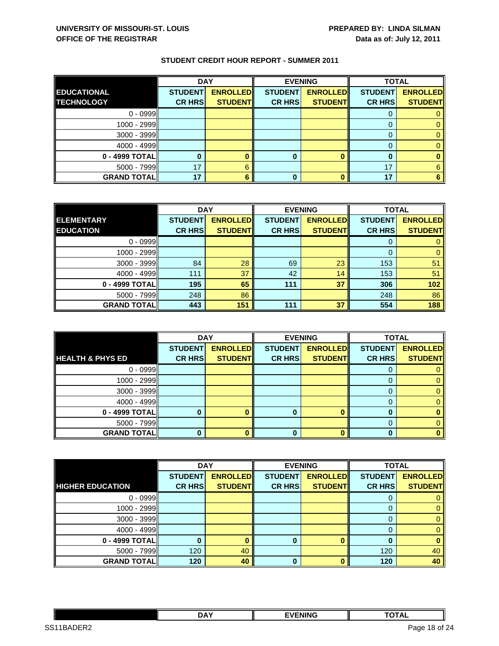|                    | <b>DAY</b>     |                 | <b>EVENING</b> |                 | <b>TOTAL</b>   |                 |
|--------------------|----------------|-----------------|----------------|-----------------|----------------|-----------------|
| <b>EDUCATIONAL</b> | <b>STUDENT</b> | <b>ENROLLED</b> | <b>STUDENT</b> | <b>ENROLLED</b> | <b>STUDENT</b> | <b>ENROLLED</b> |
| <b>TECHNOLOGY</b>  | <b>CR HRS</b>  | <b>STUDENT</b>  | <b>CR HRS</b>  | <b>STUDENT</b>  | <b>CR HRS</b>  | <b>STUDENT</b>  |
| $0 - 0999$         |                |                 |                |                 |                |                 |
| $1000 - 2999$      |                |                 |                |                 |                |                 |
| $3000 - 3999$      |                |                 |                |                 |                |                 |
| $4000 - 4999$      |                |                 |                |                 |                |                 |
| $0 - 4999$ TOTAL   |                |                 | 0              |                 |                |                 |
| $5000 - 7999$      | 17             |                 |                |                 | 17             |                 |
| <b>GRAND TOTAL</b> | 17             |                 | 0              |                 | 17             |                 |

|                    | <b>DAY</b>     |                 |                | <b>EVENING</b>  | <b>TOTAL</b>   |                 |
|--------------------|----------------|-----------------|----------------|-----------------|----------------|-----------------|
| <b>ELEMENTARY</b>  | <b>STUDENT</b> | <b>ENROLLED</b> | <b>STUDENT</b> | <b>ENROLLED</b> | <b>STUDENT</b> | <b>ENROLLED</b> |
| <b>EDUCATION</b>   | <b>CR HRS</b>  | <b>STUDENT</b>  | <b>CR HRS</b>  | <b>STUDENT</b>  | <b>CR HRS</b>  | <b>STUDENT</b>  |
| $0 - 0999$         |                |                 |                |                 |                |                 |
| 1000 - 2999        |                |                 |                |                 | 0              |                 |
| $3000 - 3999$      | 84             | 28              | 69             | 23              | 153            | 51              |
| $4000 - 4999$      | 111            | 37              | 42             | 14              | 153            | 51              |
| 0 - 4999 TOTAL     | 195            | 65              | 111            | 37              | 306            | 102             |
| $5000 - 7999$      | 248            | 86              |                |                 | 248            | 86              |
| <b>GRAND TOTAL</b> | 443            | 151             | 111            | 37              | 554            | 188             |

|                             | <b>DAY</b>     |                 | <b>EVENING</b> |                 | <b>TOTAL</b>   |                 |
|-----------------------------|----------------|-----------------|----------------|-----------------|----------------|-----------------|
|                             | <b>STUDENT</b> | <b>ENROLLED</b> | <b>STUDENT</b> | <b>ENROLLED</b> | <b>STUDENT</b> | <b>ENROLLED</b> |
| <b>HEALTH &amp; PHYS ED</b> | <b>CR HRS</b>  | <b>STUDENT</b>  | <b>CR HRS</b>  | <b>STUDENT</b>  | <b>CR HRS</b>  | <b>STUDENT</b>  |
| $0 - 0999$                  |                |                 |                |                 |                |                 |
| 1000 - 2999                 |                |                 |                |                 |                |                 |
| $3000 - 3999$               |                |                 |                |                 |                |                 |
| $4000 - 4999$               |                |                 |                |                 |                |                 |
| 0 - 4999 TOTAL              |                |                 |                |                 |                |                 |
| $5000 - 7999$               |                |                 |                |                 |                |                 |
| <b>GRAND TOTAL</b>          |                |                 |                |                 |                |                 |

|                         | <b>DAY</b>     |                 | <b>EVENING</b> |                 | <b>TOTAL</b>   |                 |
|-------------------------|----------------|-----------------|----------------|-----------------|----------------|-----------------|
|                         | <b>STUDENT</b> | <b>ENROLLED</b> | <b>STUDENT</b> | <b>ENROLLED</b> | <b>STUDENT</b> | <b>ENROLLED</b> |
| <b>HIGHER EDUCATION</b> | <b>CR HRS</b>  | <b>STUDENT</b>  | <b>CR HRS</b>  | <b>STUDENTI</b> | <b>CR HRS</b>  | <b>STUDENT</b>  |
| $0 - 0999$              |                |                 |                |                 |                |                 |
| 1000 - 2999             |                |                 |                |                 | 0              | 0               |
| $3000 - 3999$           |                |                 |                |                 | 0              | 0               |
| $4000 - 4999$           |                |                 |                |                 |                | 0               |
| 0 - 4999 TOTAL          |                |                 | 0              |                 |                | 0               |
| $5000 - 7999$           | 120            | 40              |                |                 | 120            | 40              |
| <b>GRAND TOTAL</b>      | 120            | 40              | $\bf{0}$       |                 | 120            | 40              |

|                                            | <b>DAY</b> | <b>FVENING</b> | -~-**<br>ль            |   |
|--------------------------------------------|------------|----------------|------------------------|---|
| מם⊐ו<br>SS <sub>1</sub><br>⊶GAD⊢<br>$\sim$ |            |                | of 24<br>Page<br>- 18. | - |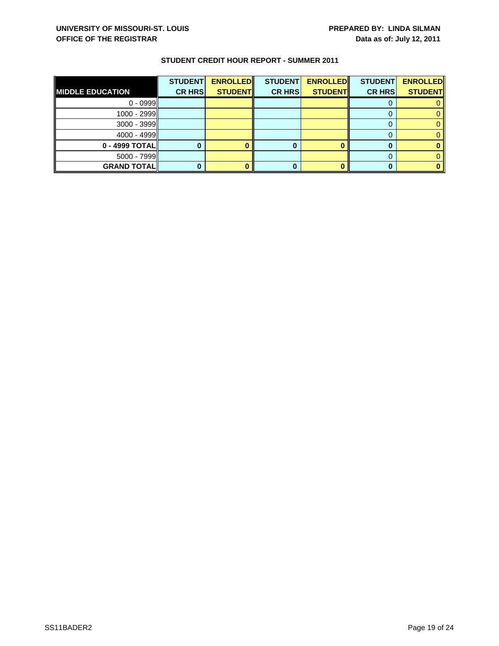| <b>MIDDLE EDUCATION</b> | <b>STUDENT</b><br><b>CR HRS</b> | <b>ENROLLED</b><br><b>STUDENT</b> | <b>STUDENT</b><br><b>CR HRS</b> | <b>ENROLLED</b><br><b>STUDENT</b> | <b>STUDENT</b><br><b>CR HRS</b> | <b>ENROLLED</b><br><b>STUDENT</b> |
|-------------------------|---------------------------------|-----------------------------------|---------------------------------|-----------------------------------|---------------------------------|-----------------------------------|
| $0 - 0999$              |                                 |                                   |                                 |                                   |                                 |                                   |
| $1000 - 2999$           |                                 |                                   |                                 |                                   |                                 |                                   |
| $3000 - 3999$           |                                 |                                   |                                 |                                   |                                 |                                   |
| $4000 - 4999$           |                                 |                                   |                                 |                                   |                                 |                                   |
| $0 - 4999$ TOTAL        |                                 |                                   |                                 |                                   |                                 |                                   |
| $5000 - 7999$           |                                 |                                   |                                 |                                   |                                 |                                   |
| <b>GRAND TOTALI</b>     |                                 |                                   | 0                               |                                   |                                 |                                   |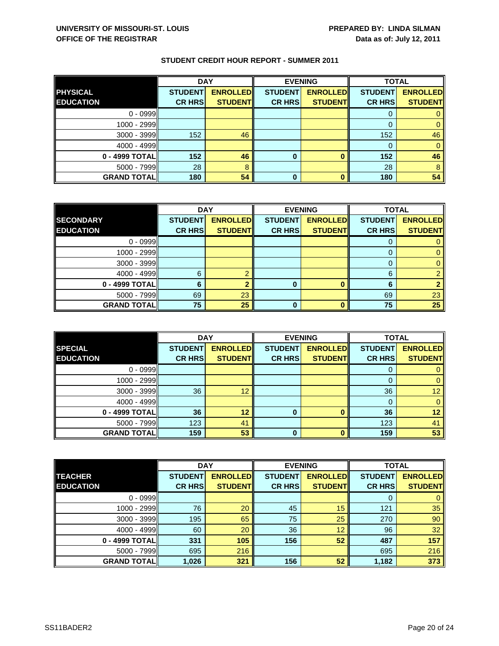|                    | <b>DAY</b>     |                 | <b>EVENING</b> |                 | <b>TOTAL</b>   |                 |
|--------------------|----------------|-----------------|----------------|-----------------|----------------|-----------------|
| <b>PHYSICAL</b>    | <b>STUDENT</b> | <b>ENROLLED</b> | <b>STUDENT</b> | <b>ENROLLED</b> | <b>STUDENT</b> | <b>ENROLLED</b> |
| <b>EDUCATION</b>   | <b>CR HRS</b>  | <b>STUDENT</b>  | <b>CR HRS</b>  | <b>STUDENT</b>  | <b>CR HRS</b>  | <b>STUDENT</b>  |
| $0 - 0999$         |                |                 |                |                 |                |                 |
| $1000 - 2999$      |                |                 |                |                 |                |                 |
| $3000 - 3999$      | 152            | 46              |                |                 | 152            | 46              |
| $4000 - 4999$      |                |                 |                |                 | $\Omega$       |                 |
| 0 - 4999 TOTAL     | 152            | 46              | 0              |                 | 152            | 46              |
| $5000 - 7999$      | 28             | 8               |                |                 | 28             | 8               |
| <b>GRAND TOTAL</b> | 180            | 54              | 0              |                 | 180            | 54              |

|                    |                | <b>DAY</b><br><b>EVENING</b> |                | <b>TOTAL</b>    |                |                 |
|--------------------|----------------|------------------------------|----------------|-----------------|----------------|-----------------|
| <b>SECONDARY</b>   | <b>STUDENT</b> | <b>ENROLLED</b>              | <b>STUDENT</b> | <b>ENROLLED</b> | <b>STUDENT</b> | <b>ENROLLED</b> |
| <b>EDUCATION</b>   | <b>CR HRS</b>  | <b>STUDENT</b>               | <b>CR HRS</b>  | <b>STUDENT</b>  | <b>CR HRS</b>  | <b>STUDENT</b>  |
| $0 - 0999$         |                |                              |                |                 |                |                 |
| $1000 - 2999$      |                |                              |                |                 |                |                 |
| 3000 - 3999        |                |                              |                |                 |                |                 |
| $4000 - 4999$      | 6              |                              |                |                 | 6              |                 |
| $0 - 4999$ TOTAL   | 6              |                              | 0              |                 | 6              |                 |
| $5000 - 7999$      | 69             | 23                           |                |                 | 69             | 23              |
| <b>GRAND TOTAL</b> | 75             | 25                           | 0              |                 | 75             | 25              |

|                    | <b>DAY</b>     |                 |                | <b>EVENING</b>  | <b>TOTAL</b>   |                 |
|--------------------|----------------|-----------------|----------------|-----------------|----------------|-----------------|
| <b>SPECIAL</b>     | <b>STUDENT</b> | <b>ENROLLED</b> | <b>STUDENT</b> | <b>ENROLLED</b> | <b>STUDENT</b> | <b>ENROLLED</b> |
| <b>EDUCATION</b>   | <b>CR HRS</b>  | <b>STUDENT</b>  | <b>CR HRS</b>  | <b>STUDENT</b>  | <b>CR HRS</b>  | <b>STUDENT</b>  |
| $0 - 0999$         |                |                 |                |                 |                |                 |
| $1000 - 2999$      |                |                 |                |                 | 0              |                 |
| $3000 - 3999$      | 36             | 12              |                |                 | 36             | 12 <sup>2</sup> |
| $4000 - 4999$      |                |                 |                |                 |                |                 |
| 0 - 4999 TOTAL     | 36             | 12              | $\bf{0}$       | O               | 36             | 12              |
| $5000 - 7999$      | 123            | 41              |                |                 | 123            | 41              |
| <b>GRAND TOTAL</b> | 159            | 53              | $\bf{0}$       |                 | 159            | 53              |

|                    | <b>DAY</b>     |                 | <b>EVENING</b> |                 | <b>TOTAL</b>   |                 |
|--------------------|----------------|-----------------|----------------|-----------------|----------------|-----------------|
| <b>TEACHER</b>     | <b>STUDENT</b> | <b>ENROLLED</b> | <b>STUDENT</b> | <b>ENROLLED</b> | <b>STUDENT</b> | <b>ENROLLED</b> |
| <b>EDUCATION</b>   | <b>CR HRS</b>  | <b>STUDENT</b>  | <b>CR HRS</b>  | <b>STUDENT</b>  | <b>CR HRS</b>  | <b>STUDENT</b>  |
| $0 - 0999$         |                |                 |                |                 | 0              | $\mathbf{0}$    |
| 1000 - 2999        | 76             | 20              | 45             | 15              | 121            | 35              |
| 3000 - 3999        | 195            | 65              | 75             | 25              | 270            | 90              |
| $4000 - 4999$      | 60             | 20              | 36             | 12              | 96             | 32              |
| 0 - 4999 TOTAL     | 331            | 105             | 156            | 52              | 487            | 157             |
| $5000 - 7999$      | 695            | 216             |                |                 | 695            | 216             |
| <b>GRAND TOTAL</b> | 1,026          | 321             | 156            | 52              | 1,182          | 373             |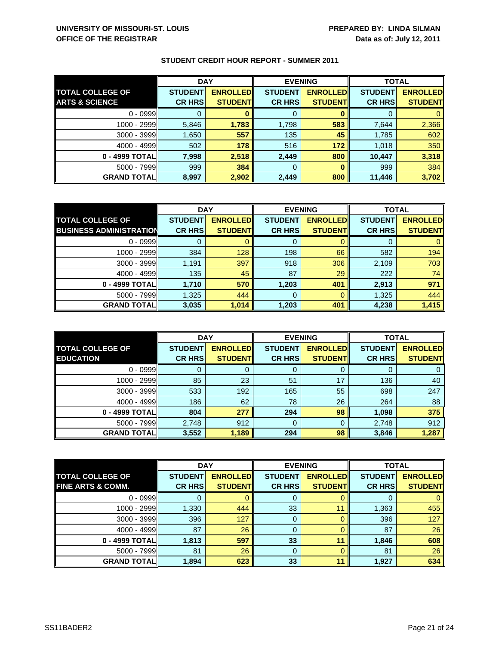|                           | <b>DAY</b>     |                 | <b>EVENING</b> |                 | <b>TOTAL</b>   |                 |
|---------------------------|----------------|-----------------|----------------|-----------------|----------------|-----------------|
| <b>TOTAL COLLEGE OF</b>   | <b>STUDENT</b> | <b>ENROLLED</b> | <b>STUDENT</b> | <b>ENROLLED</b> | <b>STUDENT</b> | <b>ENROLLED</b> |
| <b>ARTS &amp; SCIENCE</b> | <b>CR HRS</b>  | <b>STUDENT</b>  | <b>CR HRS</b>  | <b>STUDENT</b>  | <b>CR HRS</b>  | <b>STUDENT</b>  |
| $0 - 0999$                |                |                 |                |                 |                |                 |
| 1000 - 2999               | 5,846          | 1,783           | 1,798          | 583             | 7,644          | 2,366           |
| $3000 - 3999$             | 1,650          | 557             | 135            | 45              | 1,785          | 602             |
| $4000 - 4999$             | 502            | 178             | 516            | 172             | 1,018          | 350             |
| 0 - 4999 TOTALI           | 7.998          | 2,518           | 2,449          | 800             | 10,447         | 3,318           |
| $5000 - 7999$             | 999            | 384             | 0              |                 | 999            | 384             |
| <b>GRAND TOTAL</b>        | 8,997          | 2,902           | 2,449          | 800             | 11,446         | 3,702           |

|                                | <b>DAY</b>     |                  | <b>EVENING</b> |                 | <b>TOTAL</b>   |                 |
|--------------------------------|----------------|------------------|----------------|-----------------|----------------|-----------------|
| <b>TOTAL COLLEGE OF</b>        | <b>STUDENT</b> | <b>ENROLLEDI</b> | <b>STUDENT</b> | <b>ENROLLED</b> | <b>STUDENT</b> | <b>ENROLLED</b> |
| <b>BUSINESS ADMINISTRATION</b> | <b>CR HRS</b>  | <b>STUDENT</b>   | <b>CR HRS</b>  | <b>STUDENT</b>  | <b>CR HRS</b>  | <b>STUDENT</b>  |
| $0 - 0999$                     |                |                  |                |                 |                |                 |
| $1000 - 2999$                  | 384            | 128              | 198            | 66              | 582            | 194             |
| $3000 - 3999$                  | 1,191          | 397              | 918            | 306             | 2,109          | 703             |
| $4000 - 4999$                  | 135            | 45               | 87             | 29              | 222            | 74              |
| 0 - 4999 TOTAL                 | 1,710          | 570              | 1,203          | 401             | 2,913          | 971             |
| $5000 - 7999$                  | 1,325          | 444              | 0              |                 | 1,325          | 444             |
| <b>GRAND TOTAL</b>             | 3,035          | 1,014            | 1,203          | 401             | 4,238          | 1,415           |

|                                             | <b>DAY</b>                      |                                   | <b>EVENING</b>                  |                                   | <b>TOTAL</b>                    |                                   |
|---------------------------------------------|---------------------------------|-----------------------------------|---------------------------------|-----------------------------------|---------------------------------|-----------------------------------|
| <b>TOTAL COLLEGE OF</b><br><b>EDUCATION</b> | <b>STUDENT</b><br><b>CR HRS</b> | <b>ENROLLED</b><br><b>STUDENT</b> | <b>STUDENT</b><br><b>CR HRS</b> | <b>ENROLLED</b><br><b>STUDENT</b> | <b>STUDENT</b><br><b>CR HRS</b> | <b>ENROLLED</b><br><b>STUDENT</b> |
| $0 - 0999$                                  |                                 |                                   | O                               |                                   |                                 |                                   |
| 1000 - 2999                                 | 85                              | 23                                | 51                              | 17                                | 136                             | 40                                |
| $3000 - 3999$                               | 533                             | 192                               | 165                             | 55                                | 698                             | 247                               |
| $4000 - 4999$                               | 186                             | 62                                | 78                              | 26                                | 264                             | 88                                |
| 0 - 4999 TOTALI                             | 804                             | 277                               | 294                             | 98                                | 1,098                           | 375                               |
| $5000 - 7999$                               | 2.748                           | 912                               | 0                               |                                   | 2,748                           | 912                               |
| <b>GRAND TOTAL</b>                          | 3,552                           | 1,189                             | 294                             | 98                                | 3,846                           | 1,287                             |

|                              | <b>DAY</b>     |                 | <b>EVENING</b> |                 | <b>TOTAL</b>   |                 |
|------------------------------|----------------|-----------------|----------------|-----------------|----------------|-----------------|
| <b>TOTAL COLLEGE OF</b>      | <b>STUDENT</b> | <b>ENROLLED</b> | <b>STUDENT</b> | <b>ENROLLED</b> | <b>STUDENT</b> | <b>ENROLLED</b> |
| <b>FINE ARTS &amp; COMM.</b> | <b>CR HRS</b>  | <b>STUDENT</b>  | <b>CR HRS</b>  | <b>STUDENT</b>  | <b>CR HRS</b>  | <b>STUDENT</b>  |
| $0 - 0999$                   |                |                 | 0              |                 | O              | 0               |
| 1000 - 2999                  | 1,330          | 444             | 33             | 11              | 1,363          | 455             |
| 3000 - 3999                  | 396            | 127             | 0              |                 | 396            | 127             |
| $4000 - 4999$                | 87             | 26              | 0              |                 | 87             | 26              |
| 0 - 4999 TOTAL               | 1,813          | 597             | 33             | 11              | 1,846          | 608             |
| $5000 - 7999$                | 81             | 26              | 0              |                 | 81             | 26              |
| <b>GRAND TOTAL</b>           | 1,894          | 623             | 33             | 11              | 1,927          | 634             |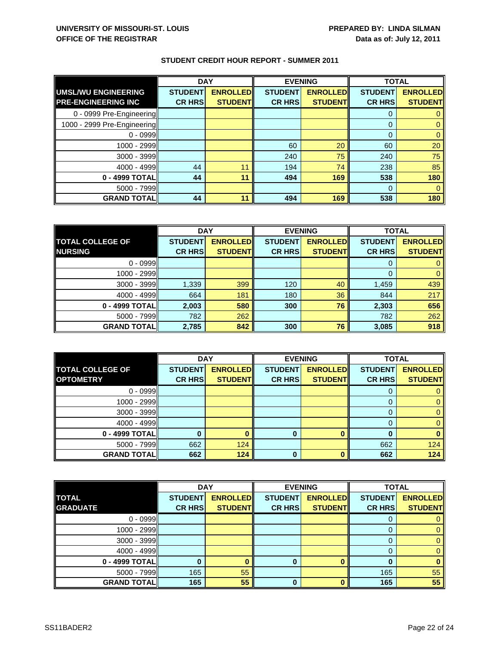|                             | <b>DAY</b>     |                 | <b>EVENING</b> |                 | <b>TOTAL</b>   |                 |
|-----------------------------|----------------|-----------------|----------------|-----------------|----------------|-----------------|
| <b>UMSL/WU ENGINEERING</b>  | <b>STUDENT</b> | <b>ENROLLED</b> | <b>STUDENT</b> | <b>ENROLLED</b> | <b>STUDENT</b> | <b>ENROLLED</b> |
| <b>PRE-ENGINEERING INC</b>  | <b>CR HRS</b>  | <b>STUDENT</b>  | <b>CR HRS</b>  | <b>STUDENT</b>  | <b>CR HRS</b>  | <b>STUDENT</b>  |
| 0 - 0999 Pre-Engineering    |                |                 |                |                 |                |                 |
| 1000 - 2999 Pre-Engineering |                |                 |                |                 | $\Omega$       |                 |
| $0 - 0999$                  |                |                 |                |                 | $\Omega$       |                 |
| 1000 - 2999                 |                |                 | 60             | 20              | 60             | 20              |
| 3000 - 3999                 |                |                 | 240            | 75              | 240            | 75              |
| $4000 - 4999$               | 44             | 11              | 194            | 74              | 238            | 85              |
| 0 - 4999 TOTAL              | 44             | 11              | 494            | 169             | 538            | 180             |
| $5000 - 7999$               |                |                 |                |                 | $\Omega$       |                 |
| <b>GRAND TOTAL</b>          | 44             | 11              | 494            | 169             | 538            | 180             |

|                         | <b>DAY</b>     |                 | <b>EVENING</b> |                 | <b>TOTAL</b>   |                 |
|-------------------------|----------------|-----------------|----------------|-----------------|----------------|-----------------|
| <b>TOTAL COLLEGE OF</b> | <b>STUDENT</b> | <b>ENROLLED</b> | <b>STUDENT</b> | <b>ENROLLED</b> | <b>STUDENT</b> | <b>ENROLLED</b> |
| <b>NURSING</b>          | <b>CR HRS</b>  | <b>STUDENT</b>  | <b>CR HRS</b>  | <b>STUDENT</b>  | <b>CR HRS</b>  | <b>STUDENT</b>  |
| $0 - 0999$              |                |                 |                |                 |                |                 |
| 1000 - 2999             |                |                 |                |                 |                |                 |
| $3000 - 3999$           | 1,339          | 399             | 120            | 40              | 1,459          | 439             |
| $4000 - 4999$           | 664            | 181             | 180            | 36              | 844            | 217             |
| 0 - 4999 TOTAL          | 2,003          | 580             | 300            | 76              | 2,303          | 656             |
| $5000 - 7999$           | 782            | 262             |                |                 | 782            | 262             |
| <b>GRAND TOTAL</b>      | 2,785          | 842             | 300            | 76              | 3,085          | 918             |

|                         | <b>DAY</b>     |                 | <b>EVENING</b> |                 | <b>TOTAL</b>   |                 |
|-------------------------|----------------|-----------------|----------------|-----------------|----------------|-----------------|
| <b>TOTAL COLLEGE OF</b> | <b>STUDENT</b> | <b>ENROLLED</b> | <b>STUDENT</b> | <b>ENROLLED</b> | <b>STUDENT</b> | <b>ENROLLED</b> |
| <b>OPTOMETRY</b>        | <b>CR HRS</b>  | <b>STUDENT</b>  | <b>CR HRS</b>  | <b>STUDENT</b>  | <b>CR HRS</b>  | <b>STUDENT</b>  |
| $0 - 0999$              |                |                 |                |                 |                |                 |
| $1000 - 2999$           |                |                 |                |                 |                |                 |
| $3000 - 3999$           |                |                 |                |                 |                |                 |
| $4000 - 4999$           |                |                 |                |                 |                |                 |
| 0 - 4999 TOTAL          |                |                 | 0              |                 |                |                 |
| $5000 - 7999$           | 662            | 124             |                |                 | 662            | 124             |
| <b>GRAND TOTAL</b>      | 662            | 124             | 0              |                 | 662            | 124             |

|                    | <b>DAY</b>     |                 | <b>EVENING</b> |                 | <b>TOTAL</b>   |                 |
|--------------------|----------------|-----------------|----------------|-----------------|----------------|-----------------|
| <b>TOTAL</b>       | <b>STUDENT</b> | <b>ENROLLED</b> | <b>STUDENT</b> | <b>ENROLLED</b> | <b>STUDENT</b> | <b>ENROLLED</b> |
| <b>GRADUATE</b>    | <b>CR HRS</b>  | <b>STUDENTI</b> | <b>CR HRS</b>  | <b>STUDENT</b>  | <b>CR HRS</b>  | <b>STUDENT</b>  |
| $0 - 0999$         |                |                 |                |                 |                |                 |
| 1000 - 2999        |                |                 |                |                 |                |                 |
| 3000 - 3999        |                |                 |                |                 |                |                 |
| $4000 - 4999$      |                |                 |                |                 |                |                 |
| 0 - 4999 TOTAL     | 0              |                 | 0              |                 |                |                 |
| $5000 - 7999$      | 165            | 55              |                |                 | 165            | 55              |
| <b>GRAND TOTAL</b> | 165            | 55              | 0              |                 | 165            | 55              |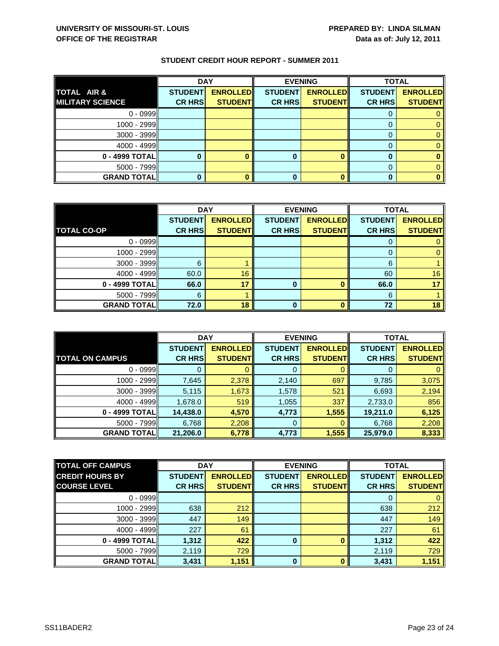|                         | <b>DAY</b>     |                 |                | <b>EVENING</b>  | <b>TOTAL</b>   |                 |
|-------------------------|----------------|-----------------|----------------|-----------------|----------------|-----------------|
| <b>TOTAL AIR &amp;</b>  | <b>STUDENT</b> | <b>ENROLLED</b> | <b>STUDENT</b> | <b>ENROLLED</b> | <b>STUDENT</b> | <b>ENROLLED</b> |
| <b>MILITARY SCIENCE</b> | <b>CR HRS</b>  | <b>STUDENT</b>  | <b>CR HRS</b>  | <b>STUDENT</b>  | <b>CR HRS</b>  | <b>STUDENT</b>  |
| $0 - 0999$              |                |                 |                |                 |                |                 |
| $1000 - 2999$           |                |                 |                |                 |                |                 |
| $3000 - 3999$           |                |                 |                |                 |                |                 |
| $4000 - 4999$           |                |                 |                |                 |                |                 |
| $0 - 4999$ TOTAL        |                |                 | 0              |                 |                |                 |
| $5000 - 7999$           |                |                 |                |                 |                |                 |
| <b>GRAND TOTAL</b>      |                |                 | 0              |                 |                |                 |

|                    | <b>DAY</b>     |                  | <b>EVENING</b> |                 | <b>TOTAL</b>   |                 |
|--------------------|----------------|------------------|----------------|-----------------|----------------|-----------------|
|                    | <b>STUDENT</b> | <b>ENROLLEDI</b> | <b>STUDENT</b> | <b>ENROLLED</b> | <b>STUDENT</b> | <b>ENROLLED</b> |
| <b>TOTAL CO-OP</b> | <b>CR HRS</b>  | <b>STUDENT</b>   | <b>CR HRS</b>  | <b>STUDENT</b>  | <b>CR HRS</b>  | <b>STUDENT</b>  |
| $0 - 0999$         |                |                  |                |                 |                |                 |
| $1000 - 2999$      |                |                  |                |                 | O              |                 |
| $3000 - 3999$      | 6              |                  |                |                 | 6              |                 |
| $4000 - 4999$      | 60.0           | 16               |                |                 | 60             | 16              |
| 0 - 4999 TOTAL     | 66.0           | 17               | 0              |                 | 66.0           | 17              |
| $5000 - 7999$      | 6              |                  |                |                 | 6              |                 |
| <b>GRAND TOTAL</b> | 72.0           | 18               | ŋ              |                 | 72             | 18              |

|                        | <b>DAY</b>     |                  | <b>EVENING</b> |                 | <b>TOTAL</b>   |                 |
|------------------------|----------------|------------------|----------------|-----------------|----------------|-----------------|
|                        | <b>STUDENT</b> | <b>ENROLLEDI</b> | <b>STUDENT</b> | <b>ENROLLED</b> | <b>STUDENT</b> | <b>ENROLLED</b> |
| <b>TOTAL ON CAMPUS</b> | <b>CR HRS</b>  | <b>STUDENT</b>   | <b>CR HRS</b>  | <b>STUDENT</b>  | <b>CR HRS</b>  | <b>STUDENT</b>  |
| $0 - 0999$             |                |                  | 0              |                 | O              |                 |
| $1000 - 2999$          | 7,645          | 2,378            | 2,140          | 697             | 9,785          | 3,075           |
| $3000 - 3999$          | 5,115          | 1,673            | 1,578          | 521             | 6,693          | 2,194           |
| $4000 - 4999$          | 1,678.0        | 519              | 1,055          | 337             | 2,733.0        | 856             |
| 0 - 4999 TOTAL         | 14,438.0       | 4,570            | 4,773          | 1,555           | 19,211.0       | 6,125           |
| $5000 - 7999$          | 6,768          | 2,208            | 0              |                 | 6,768          | 2,208           |
| <b>GRAND TOTALI</b>    | 21,206.0       | 6,778            | 4,773          | 1,555           | 25,979.0       | 8,333           |

| <b>TOTAL OFF CAMPUS</b> | <b>DAY</b><br><b>EVENING</b> |                 | <b>TOTAL</b>   |                 |                |                 |
|-------------------------|------------------------------|-----------------|----------------|-----------------|----------------|-----------------|
| <b>CREDIT HOURS BY</b>  | <b>STUDENT</b>               | <b>ENROLLED</b> | <b>STUDENT</b> | <b>ENROLLED</b> | <b>STUDENT</b> | <b>ENROLLED</b> |
| <b>COURSE LEVEL</b>     | <b>CR HRS</b>                | <b>STUDENT</b>  | <b>CR HRS</b>  | <b>STUDENT</b>  | <b>CR HRS</b>  | <b>STUDENT</b>  |
| $0 - 0999$              |                              |                 |                |                 | 0              | $\mathbf{0}$    |
| 1000 - 2999             | 638                          | 212             |                |                 | 638            | 212             |
| $3000 - 3999$           | 447                          | 149             |                |                 | 447            | 149             |
| $4000 - 4999$           | 227                          | 61              |                |                 | 227            | 61              |
| 0 - 4999 TOTAL          | 1,312                        | 422             | $\bf{0}$       |                 | 1,312          | 422             |
| $5000 - 7999$           | 2,119                        | 729             |                |                 | 2,119          | 729             |
| <b>GRAND TOTAL</b>      | 3,431                        | 1,151           | $\bf{0}$       | n               | 3,431          | 1,151           |